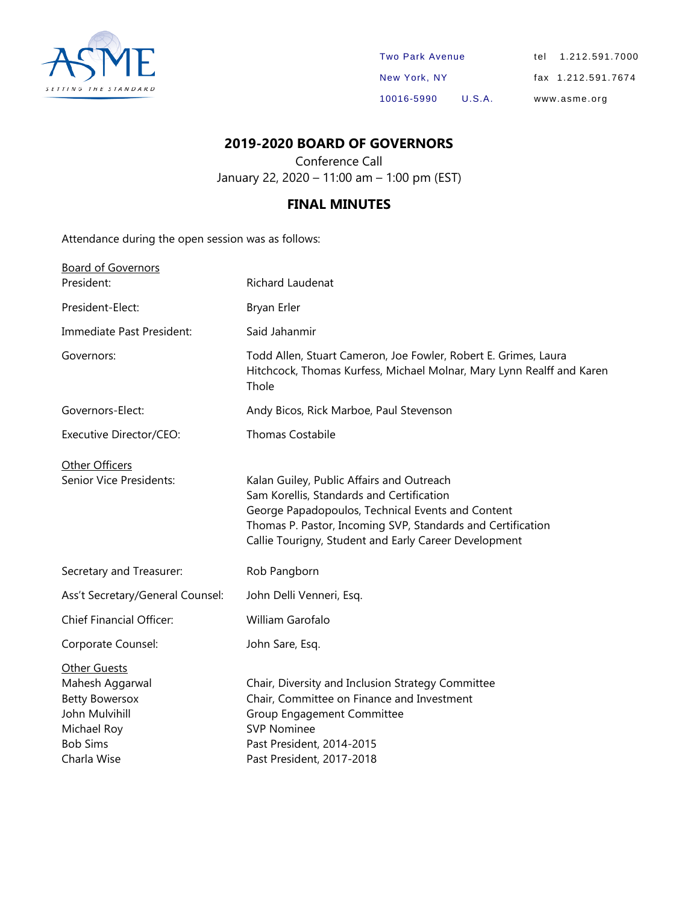

| <b>Two Park Avenue</b> |        | tel 1.212.591.7000 |
|------------------------|--------|--------------------|
| New York, NY           |        | fax 1.212.591.7674 |
| 10016-5990             | U.S.A. | www.asme.org       |

### **2019-2020 BOARD OF GOVERNORS**

Conference Call January 22, 2020 – 11:00 am – 1:00 pm (EST)

### **FINAL MINUTES**

Attendance during the open session was as follows:

| Richard Laudenat                                                                                                                                                                                                                                                    |
|---------------------------------------------------------------------------------------------------------------------------------------------------------------------------------------------------------------------------------------------------------------------|
| Bryan Erler                                                                                                                                                                                                                                                         |
| Said Jahanmir                                                                                                                                                                                                                                                       |
| Todd Allen, Stuart Cameron, Joe Fowler, Robert E. Grimes, Laura                                                                                                                                                                                                     |
| Hitchcock, Thomas Kurfess, Michael Molnar, Mary Lynn Realff and Karen<br>Thole                                                                                                                                                                                      |
| Andy Bicos, Rick Marboe, Paul Stevenson                                                                                                                                                                                                                             |
| <b>Thomas Costabile</b>                                                                                                                                                                                                                                             |
| Kalan Guiley, Public Affairs and Outreach<br>Sam Korellis, Standards and Certification<br>George Papadopoulos, Technical Events and Content<br>Thomas P. Pastor, Incoming SVP, Standards and Certification<br>Callie Tourigny, Student and Early Career Development |
| Rob Pangborn                                                                                                                                                                                                                                                        |
| John Delli Venneri, Esq.                                                                                                                                                                                                                                            |
| William Garofalo                                                                                                                                                                                                                                                    |
| John Sare, Esq.                                                                                                                                                                                                                                                     |
| Chair, Diversity and Inclusion Strategy Committee<br>Chair, Committee on Finance and Investment<br>Group Engagement Committee<br><b>SVP Nominee</b><br>Past President, 2014-2015<br>Past President, 2017-2018                                                       |
|                                                                                                                                                                                                                                                                     |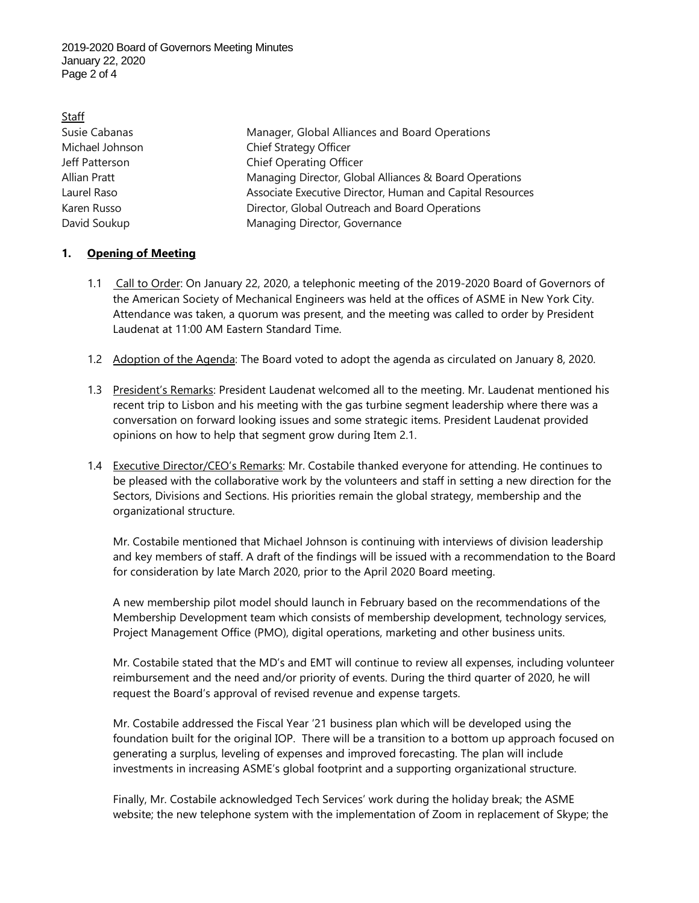2019-2020 Board of Governors Meeting Minutes January 22, 2020 Page 2 of 4

#### Staff

Susie Cabanas Manager, Global Alliances and Board Operations Michael Johnson Chief Strategy Officer Jeff Patterson Chief Operating Officer Allian Pratt Managing Director, Global Alliances & Board Operations Laurel Raso Associate Executive Director, Human and Capital Resources Karen Russo **Director, Global Outreach and Board Operations** David Soukup Managing Director, Governance

#### **1. Opening of Meeting**

- 1.1 Call to Order: On January 22, 2020, a telephonic meeting of the 2019-2020 Board of Governors of the American Society of Mechanical Engineers was held at the offices of ASME in New York City. Attendance was taken, a quorum was present, and the meeting was called to order by President Laudenat at 11:00 AM Eastern Standard Time.
- 1.2 Adoption of the Agenda: The Board voted to adopt the agenda as circulated on January 8, 2020.
- 1.3 President's Remarks: President Laudenat welcomed all to the meeting. Mr. Laudenat mentioned his recent trip to Lisbon and his meeting with the gas turbine segment leadership where there was a conversation on forward looking issues and some strategic items. President Laudenat provided opinions on how to help that segment grow during Item 2.1.
- 1.4 Executive Director/CEO's Remarks: Mr. Costabile thanked everyone for attending. He continues to be pleased with the collaborative work by the volunteers and staff in setting a new direction for the Sectors, Divisions and Sections. His priorities remain the global strategy, membership and the organizational structure.

Mr. Costabile mentioned that Michael Johnson is continuing with interviews of division leadership and key members of staff. A draft of the findings will be issued with a recommendation to the Board for consideration by late March 2020, prior to the April 2020 Board meeting.

A new membership pilot model should launch in February based on the recommendations of the Membership Development team which consists of membership development, technology services, Project Management Office (PMO), digital operations, marketing and other business units.

Mr. Costabile stated that the MD's and EMT will continue to review all expenses, including volunteer reimbursement and the need and/or priority of events. During the third quarter of 2020, he will request the Board's approval of revised revenue and expense targets.

Mr. Costabile addressed the Fiscal Year '21 business plan which will be developed using the foundation built for the original IOP. There will be a transition to a bottom up approach focused on generating a surplus, leveling of expenses and improved forecasting. The plan will include investments in increasing ASME's global footprint and a supporting organizational structure.

Finally, Mr. Costabile acknowledged Tech Services' work during the holiday break; the ASME website; the new telephone system with the implementation of Zoom in replacement of Skype; the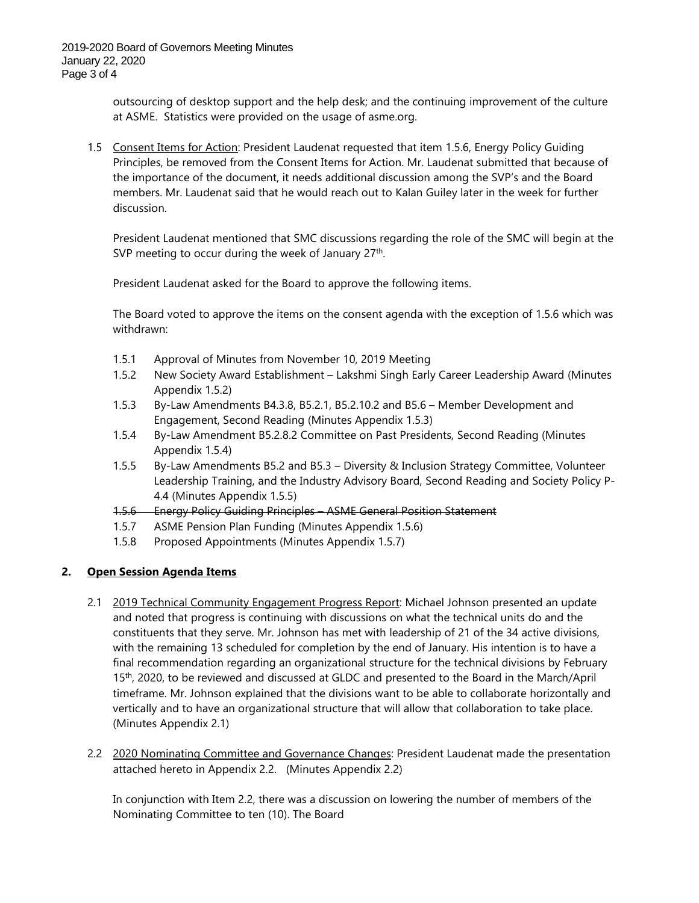outsourcing of desktop support and the help desk; and the continuing improvement of the culture at ASME. Statistics were provided on the usage of asme.org.

1.5 Consent Items for Action: President Laudenat requested that item 1.5.6, Energy Policy Guiding Principles, be removed from the Consent Items for Action. Mr. Laudenat submitted that because of the importance of the document, it needs additional discussion among the SVP's and the Board members. Mr. Laudenat said that he would reach out to Kalan Guiley later in the week for further discussion.

President Laudenat mentioned that SMC discussions regarding the role of the SMC will begin at the SVP meeting to occur during the week of January  $27<sup>th</sup>$ .

President Laudenat asked for the Board to approve the following items.

The Board voted to approve the items on the consent agenda with the exception of 1.5.6 which was withdrawn:

- 1.5.1 Approval of Minutes from November 10, 2019 Meeting
- 1.5.2 New Society Award Establishment Lakshmi Singh Early Career Leadership Award (Minutes Appendix 1.5.2)
- 1.5.3 By-Law Amendments B4.3.8, B5.2.1, B5.2.10.2 and B5.6 Member Development and Engagement, Second Reading (Minutes Appendix 1.5.3)
- 1.5.4 By-Law Amendment B5.2.8.2 Committee on Past Presidents, Second Reading (Minutes Appendix 1.5.4)
- 1.5.5 By-Law Amendments B5.2 and B5.3 Diversity & Inclusion Strategy Committee, Volunteer Leadership Training, and the Industry Advisory Board, Second Reading and Society Policy P-4.4 (Minutes Appendix 1.5.5)
- 1.5.6 Energy Policy Guiding Principles ASME General Position Statement
- 1.5.7 ASME Pension Plan Funding (Minutes Appendix 1.5.6)
- 1.5.8 Proposed Appointments (Minutes Appendix 1.5.7)

#### **2. Open Session Agenda Items**

- 2.1 2019 Technical Community Engagement Progress Report: Michael Johnson presented an update and noted that progress is continuing with discussions on what the technical units do and the constituents that they serve. Mr. Johnson has met with leadership of 21 of the 34 active divisions, with the remaining 13 scheduled for completion by the end of January. His intention is to have a final recommendation regarding an organizational structure for the technical divisions by February 15<sup>th</sup>, 2020, to be reviewed and discussed at GLDC and presented to the Board in the March/April timeframe. Mr. Johnson explained that the divisions want to be able to collaborate horizontally and vertically and to have an organizational structure that will allow that collaboration to take place. (Minutes Appendix 2.1)
- 2.2 2020 Nominating Committee and Governance Changes: President Laudenat made the presentation attached hereto in Appendix 2.2. (Minutes Appendix 2.2)

In conjunction with Item 2.2, there was a discussion on lowering the number of members of the Nominating Committee to ten (10). The Board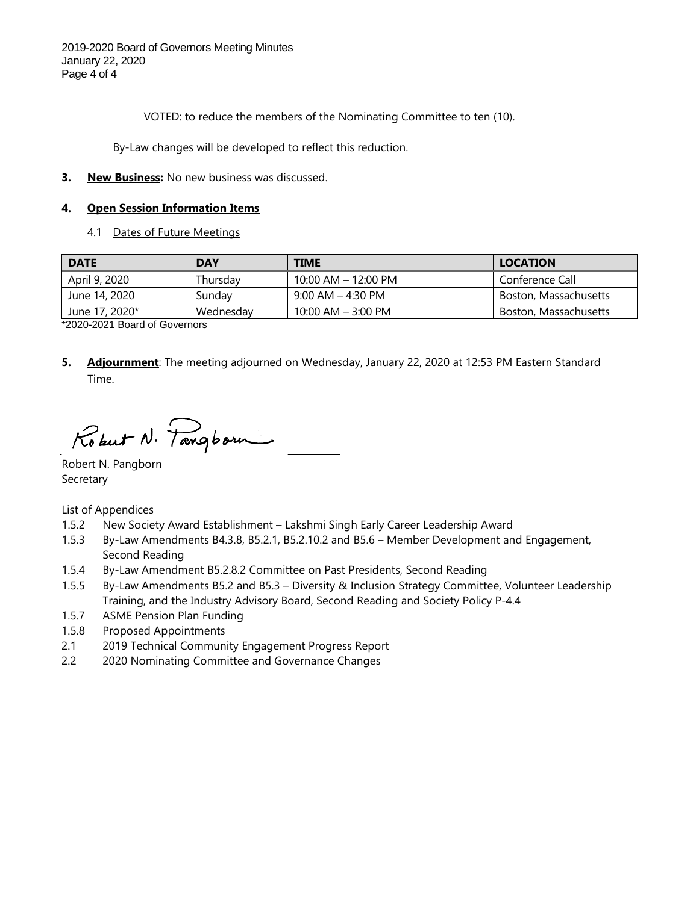VOTED: to reduce the members of the Nominating Committee to ten (10).

By-Law changes will be developed to reflect this reduction.

#### **3. New Business:** No new business was discussed.

#### **4. Open Session Information Items**

4.1 Dates of Future Meetings

| <b>DATE</b>    | <b>DAY</b> | <b>TIME</b>            | <b>LOCATION</b>       |
|----------------|------------|------------------------|-----------------------|
| April 9, 2020  | Thursdav   | 10:00 AM - 12:00 PM    | Conference Call       |
| June 14, 2020  | Sundav     | $9:00$ AM $-$ 4:30 PM  | Boston, Massachusetts |
| June 17, 2020* | Wednesdav  | $10:00$ AM $-$ 3:00 PM | Boston, Massachusetts |

\*2020-2021 Board of Governors

**5. Adjournment**: The meeting adjourned on Wednesday, January 22, 2020 at 12:53 PM Eastern Standard Time.

Robert N. Tangborn

Robert N. Pangborn Secretary

List of Appendices

- 1.5.2 New Society Award Establishment Lakshmi Singh Early Career Leadership Award
- 1.5.3 By-Law Amendments B4.3.8, B5.2.1, B5.2.10.2 and B5.6 Member Development and Engagement, Second Reading
- 1.5.4 By-Law Amendment B5.2.8.2 Committee on Past Presidents, Second Reading
- 1.5.5 By-Law Amendments B5.2 and B5.3 Diversity & Inclusion Strategy Committee, Volunteer Leadership Training, and the Industry Advisory Board, Second Reading and Society Policy P-4.4
- 1.5.7 ASME Pension Plan Funding
- 1.5.8 Proposed Appointments
- 2.1 2019 Technical Community Engagement Progress Report
- 2.2 2020 Nominating Committee and Governance Changes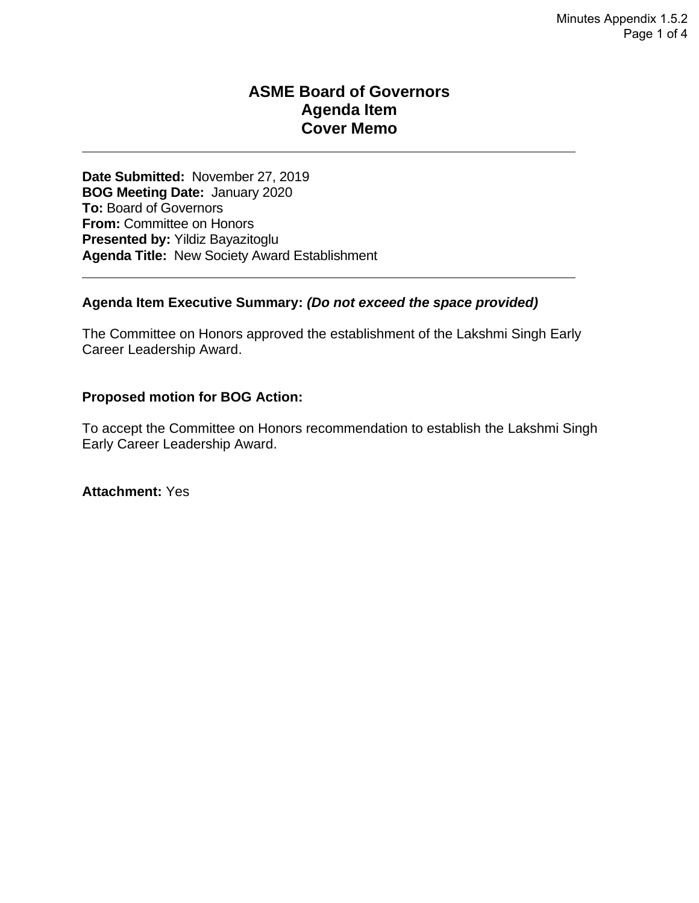### **ASME Board of Governors Agenda Item Cover Memo**

**Date Submitted:** November 27, 2019 **BOG Meeting Date:** January 2020 **To:** Board of Governors **From:** Committee on Honors **Presented by:** Yildiz Bayazitoglu **Agenda Title:** New Society Award Establishment

#### **Agenda Item Executive Summary:** *(Do not exceed the space provided)*

The Committee on Honors approved the establishment of the Lakshmi Singh Early Career Leadership Award.

#### **Proposed motion for BOG Action:**

To accept the Committee on Honors recommendation to establish the Lakshmi Singh Early Career Leadership Award.

**Attachment:** Yes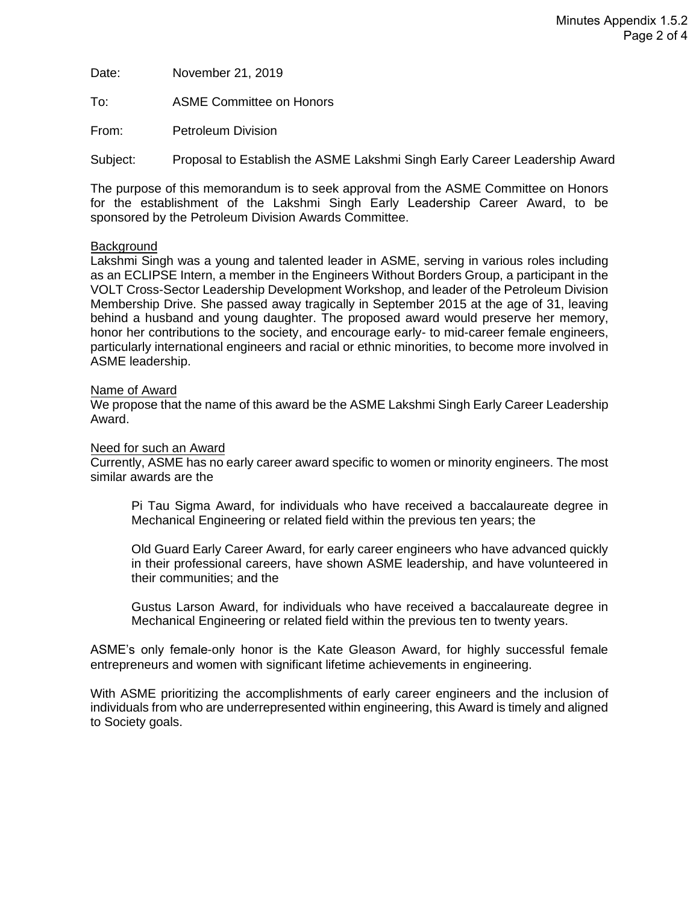Date: November 21, 2019

To: ASME Committee on Honors

From: Petroleum Division

Subject: Proposal to Establish the ASME Lakshmi Singh Early Career Leadership Award

The purpose of this memorandum is to seek approval from the ASME Committee on Honors for the establishment of the Lakshmi Singh Early Leadership Career Award, to be sponsored by the Petroleum Division Awards Committee.

#### **Background**

Lakshmi Singh was a young and talented leader in ASME, serving in various roles including as an ECLIPSE Intern, a member in the Engineers Without Borders Group, a participant in the VOLT Cross-Sector Leadership Development Workshop, and leader of the Petroleum Division Membership Drive. She passed away tragically in September 2015 at the age of 31, leaving behind a husband and young daughter. The proposed award would preserve her memory, honor her contributions to the society, and encourage early- to mid-career female engineers, particularly international engineers and racial or ethnic minorities, to become more involved in ASME leadership.

#### Name of Award

We propose that the name of this award be the ASME Lakshmi Singh Early Career Leadership Award.

#### Need for such an Award

Currently, ASME has no early career award specific to women or minority engineers. The most similar awards are the

Pi Tau Sigma Award, for individuals who have received a baccalaureate degree in Mechanical Engineering or related field within the previous ten years; the

Old Guard Early Career Award, for early career engineers who have advanced quickly in their professional careers, have shown ASME leadership, and have volunteered in their communities; and the

Gustus Larson Award, for individuals who have received a baccalaureate degree in Mechanical Engineering or related field within the previous ten to twenty years.

ASME's only female-only honor is the Kate Gleason Award, for highly successful female entrepreneurs and women with significant lifetime achievements in engineering.

With ASME prioritizing the accomplishments of early career engineers and the inclusion of individuals from who are underrepresented within engineering, this Award is timely and aligned to Society goals.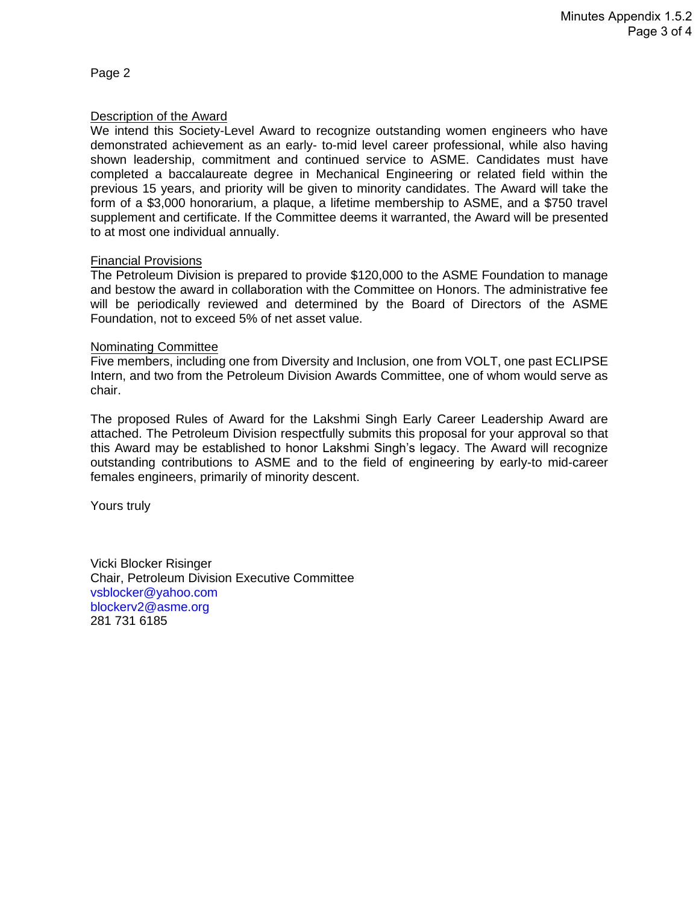Page 2

#### Description of the Award

We intend this Society-Level Award to recognize outstanding women engineers who have demonstrated achievement as an early- to-mid level career professional, while also having shown leadership, commitment and continued service to ASME. Candidates must have completed a baccalaureate degree in Mechanical Engineering or related field within the previous 15 years, and priority will be given to minority candidates. The Award will take the form of a \$3,000 honorarium, a plaque, a lifetime membership to ASME, and a \$750 travel supplement and certificate. If the Committee deems it warranted, the Award will be presented to at most one individual annually.

#### Financial Provisions

The Petroleum Division is prepared to provide \$120,000 to the ASME Foundation to manage and bestow the award in collaboration with the Committee on Honors. The administrative fee will be periodically reviewed and determined by the Board of Directors of the ASME Foundation, not to exceed 5% of net asset value.

#### Nominating Committee

Five members, including one from Diversity and Inclusion, one from VOLT, one past ECLIPSE Intern, and two from the Petroleum Division Awards Committee, one of whom would serve as chair.

The proposed Rules of Award for the Lakshmi Singh Early Career Leadership Award are attached. The Petroleum Division respectfully submits this proposal for your approval so that this Award may be established to honor Lakshmi Singh's legacy. The Award will recognize outstanding contributions to ASME and to the field of engineering by early-to mid-career females engineers, primarily of minority descent.

Yours truly

Vicki Blocker Risinger Chair, Petroleum Division Executive Committee [vsblocker@yahoo.com](mailto:vsblocker@yahoo.com) [blockerv2@asme.org](mailto:blockerv2@asme.org) 281 731 6185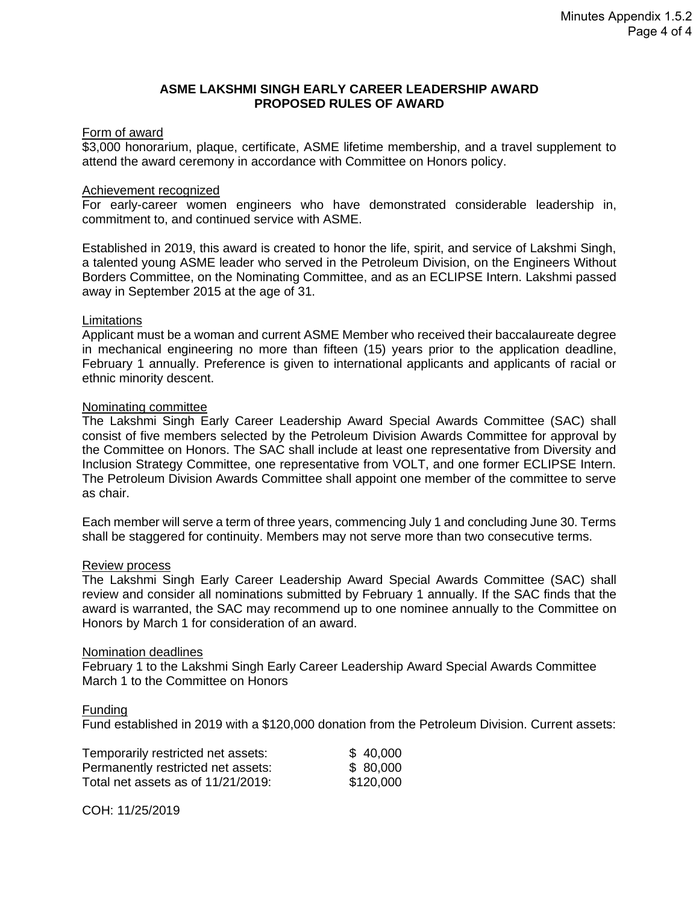#### **ASME LAKSHMI SINGH EARLY CAREER LEADERSHIP AWARD PROPOSED RULES OF AWARD**

#### Form of award

\$3,000 honorarium, plaque, certificate, ASME lifetime membership, and a travel supplement to attend the award ceremony in accordance with Committee on Honors policy.

#### Achievement recognized

For early-career women engineers who have demonstrated considerable leadership in, commitment to, and continued service with ASME.

Established in 2019, this award is created to honor the life, spirit, and service of Lakshmi Singh, a talented young ASME leader who served in the Petroleum Division, on the Engineers Without Borders Committee, on the Nominating Committee, and as an ECLIPSE Intern. Lakshmi passed away in September 2015 at the age of 31.

#### **Limitations**

Applicant must be a woman and current ASME Member who received their baccalaureate degree in mechanical engineering no more than fifteen (15) years prior to the application deadline, February 1 annually. Preference is given to international applicants and applicants of racial or ethnic minority descent.

#### Nominating committee

The Lakshmi Singh Early Career Leadership Award Special Awards Committee (SAC) shall consist of five members selected by the Petroleum Division Awards Committee for approval by the Committee on Honors. The SAC shall include at least one representative from Diversity and Inclusion Strategy Committee, one representative from VOLT, and one former ECLIPSE Intern. The Petroleum Division Awards Committee shall appoint one member of the committee to serve as chair.

Each member will serve a term of three years, commencing July 1 and concluding June 30. Terms shall be staggered for continuity. Members may not serve more than two consecutive terms.

#### Review process

The Lakshmi Singh Early Career Leadership Award Special Awards Committee (SAC) shall review and consider all nominations submitted by February 1 annually. If the SAC finds that the award is warranted, the SAC may recommend up to one nominee annually to the Committee on Honors by March 1 for consideration of an award.

#### Nomination deadlines

February 1 to the Lakshmi Singh Early Career Leadership Award Special Awards Committee March 1 to the Committee on Honors

#### Funding

Fund established in 2019 with a \$120,000 donation from the Petroleum Division. Current assets:

| Temporarily restricted net assets: | \$40,000  |
|------------------------------------|-----------|
| Permanently restricted net assets: | \$80,000  |
| Total net assets as of 11/21/2019: | \$120,000 |

COH: 11/25/2019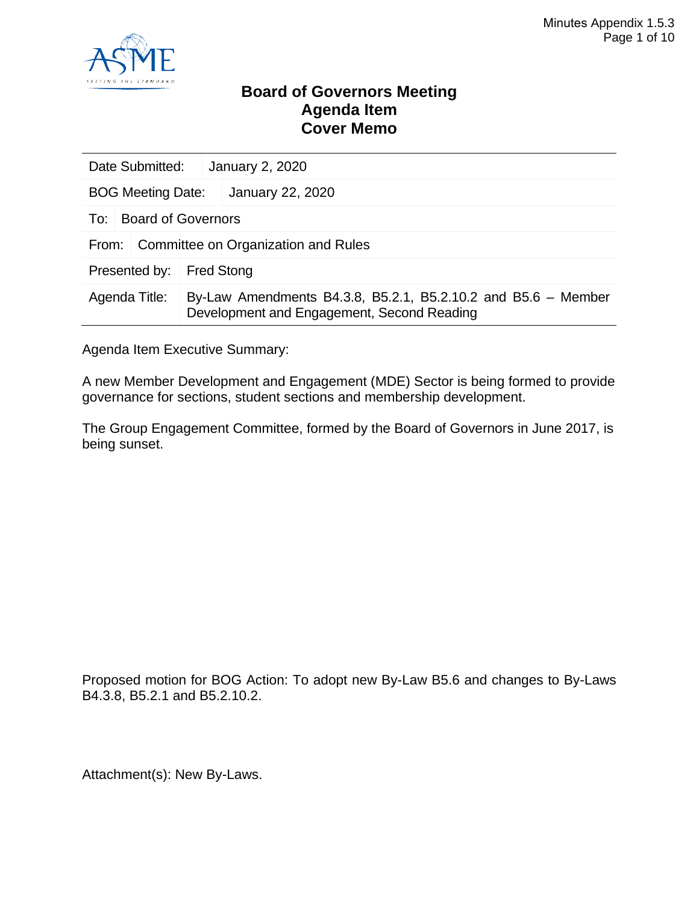

### **Board of Governors Meeting Agenda Item Cover Memo**

|               | Date Submitted:                                                                                                              |                   | January 2, 2020 |  |  |
|---------------|------------------------------------------------------------------------------------------------------------------------------|-------------------|-----------------|--|--|
|               | January 22, 2020<br><b>BOG Meeting Date:</b>                                                                                 |                   |                 |  |  |
| To:           | <b>Board of Governors</b>                                                                                                    |                   |                 |  |  |
| From:         | Committee on Organization and Rules                                                                                          |                   |                 |  |  |
| Presented by: |                                                                                                                              | <b>Fred Stong</b> |                 |  |  |
|               | By-Law Amendments B4.3.8, B5.2.1, B5.2.10.2 and B5.6 - Member<br>Agenda Title:<br>Development and Engagement, Second Reading |                   |                 |  |  |

Agenda Item Executive Summary:

A new Member Development and Engagement (MDE) Sector is being formed to provide governance for sections, student sections and membership development.

The Group Engagement Committee, formed by the Board of Governors in June 2017, is being sunset.

Proposed motion for BOG Action: To adopt new By-Law B5.6 and changes to By-Laws B4.3.8, B5.2.1 and B5.2.10.2.

Attachment(s): New By-Laws.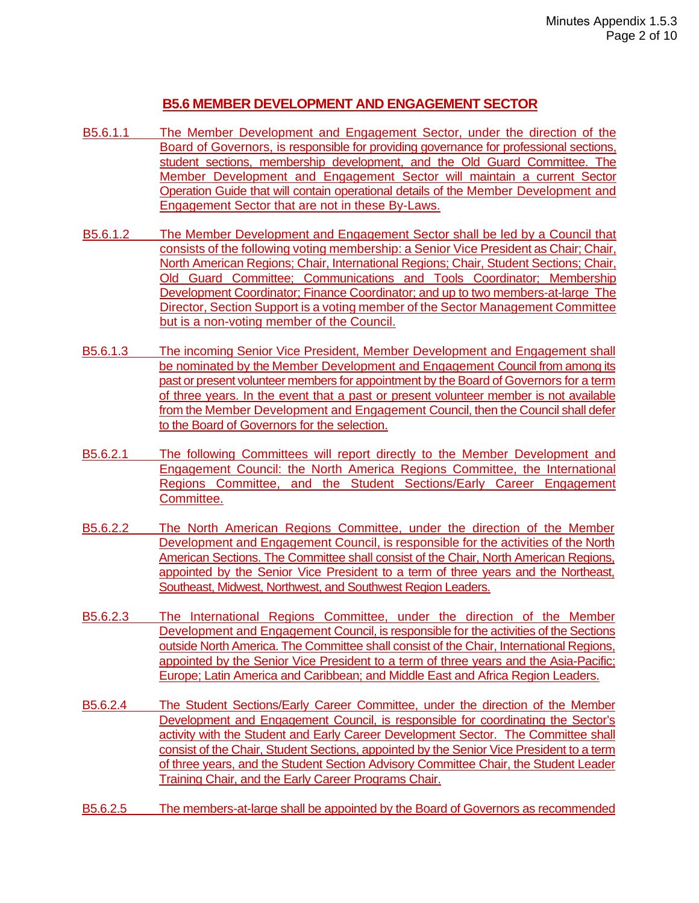#### **B5.6 MEMBER DEVELOPMENT AND ENGAGEMENT SECTOR**

- B5.6.1.1 The Member Development and Engagement Sector, under the direction of the Board of Governors, is responsible for providing governance for professional sections, student sections, membership development, and the Old Guard Committee. The Member Development and Engagement Sector will maintain a current Sector Operation Guide that will contain operational details of the Member Development and Engagement Sector that are not in these By-Laws.
- B5.6.1.2 The Member Development and Engagement Sector shall be led by a Council that consists of the following voting membership: a Senior Vice President as Chair; Chair, North American Regions; Chair, International Regions; Chair, Student Sections; Chair, Old Guard Committee; Communications and Tools Coordinator; Membership Development Coordinator; Finance Coordinator; and up to two members-at-large The Director, Section Support is a voting member of the Sector Management Committee but is a non-voting member of the Council.
- B5.6.1.3 The incoming Senior Vice President, Member Development and Engagement shall be nominated by the Member Development and Engagement Council from among its past or present volunteer members for appointment by the Board of Governors for a term of three years. In the event that a past or present volunteer member is not available from the Member Development and Engagement Council, then the Council shall defer to the Board of Governors for the selection.
- B5.6.2.1 The following Committees will report directly to the Member Development and Engagement Council: the North America Regions Committee, the International Regions Committee, and the Student Sections/Early Career Engagement Committee.
- B5.6.2.2 The North American Regions Committee, under the direction of the Member Development and Engagement Council, is responsible for the activities of the North American Sections. The Committee shall consist of the Chair, North American Regions, appointed by the Senior Vice President to a term of three years and the Northeast, Southeast, Midwest, Northwest, and Southwest Region Leaders.
- B5.6.2.3 The International Regions Committee, under the direction of the Member Development and Engagement Council, is responsible for the activities of the Sections outside North America. The Committee shall consist of the Chair, International Regions, appointed by the Senior Vice President to a term of three years and the Asia-Pacific; Europe; Latin America and Caribbean; and Middle East and Africa Region Leaders.
- B5.6.2.4 The Student Sections/Early Career Committee, under the direction of the Member Development and Engagement Council, is responsible for coordinating the Sector's activity with the Student and Early Career Development Sector. The Committee shall consist of the Chair, Student Sections, appointed by the Senior Vice President to a term of three years, and the Student Section Advisory Committee Chair, the Student Leader Training Chair, and the Early Career Programs Chair.
- B5.6.2.5 The members-at-large shall be appointed by the Board of Governors as recommended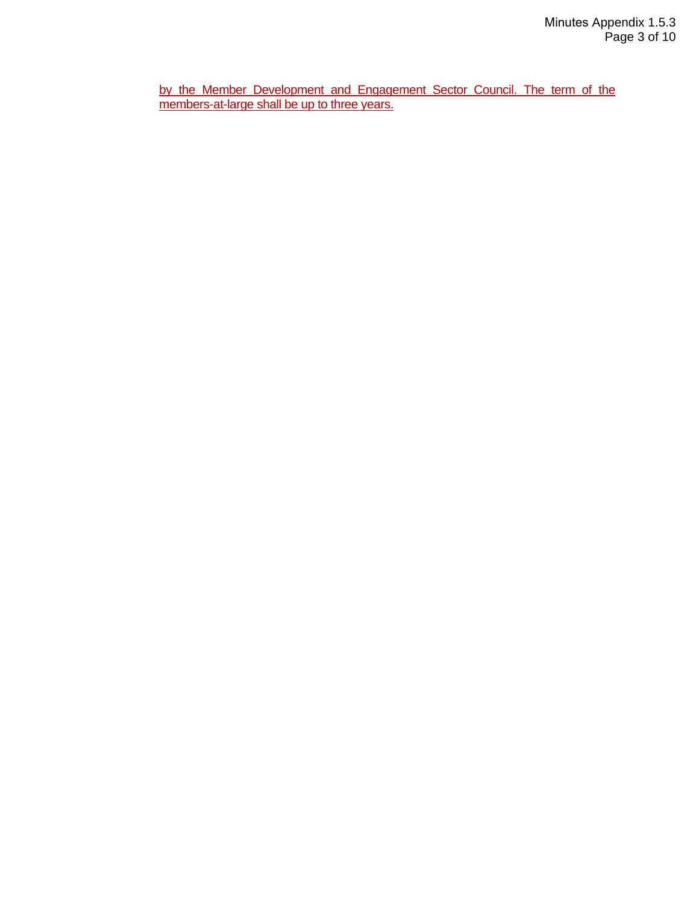by the Member Development and Engagement Sector Council. The term of the members-at-large shall be up to three years.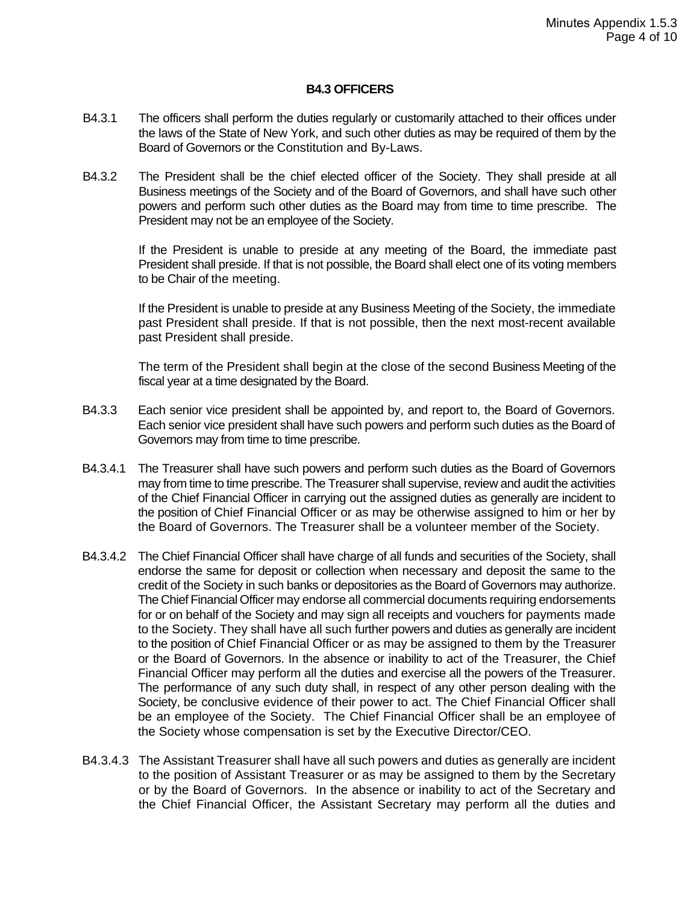#### **B4.3 OFFICERS**

- B4.3.1 The officers shall perform the duties regularly or customarily attached to their offices under the laws of the State of New York, and such other duties as may be required of them by the Board of Governors or the Constitution and By-Laws.
- B4.3.2 The President shall be the chief elected officer of the Society. They shall preside at all Business meetings of the Society and of the Board of Governors, and shall have such other powers and perform such other duties as the Board may from time to time prescribe. The President may not be an employee of the Society.

If the President is unable to preside at any meeting of the Board, the immediate past President shall preside. If that is not possible, the Board shall elect one of its voting members to be Chair of the meeting.

If the President is unable to preside at any Business Meeting of the Society, the immediate past President shall preside. If that is not possible, then the next most-recent available past President shall preside.

The term of the President shall begin at the close of the second Business Meeting of the fiscal year at a time designated by the Board.

- B4.3.3 Each senior vice president shall be appointed by, and report to, the Board of Governors. Each senior vice president shall have such powers and perform such duties as the Board of Governors may from time to time prescribe.
- B4.3.4.1 The Treasurer shall have such powers and perform such duties as the Board of Governors may from time to time prescribe. The Treasurer shall supervise, review and audit the activities of the Chief Financial Officer in carrying out the assigned duties as generally are incident to the position of Chief Financial Officer or as may be otherwise assigned to him or her by the Board of Governors. The Treasurer shall be a volunteer member of the Society.
- B4.3.4.2 The Chief Financial Officer shall have charge of all funds and securities of the Society, shall endorse the same for deposit or collection when necessary and deposit the same to the credit of the Society in such banks or depositories as the Board of Governors may authorize. The Chief Financial Officer may endorse all commercial documents requiring endorsements for or on behalf of the Society and may sign all receipts and vouchers for payments made to the Society. They shall have all such further powers and duties as generally are incident to the position of Chief Financial Officer or as may be assigned to them by the Treasurer or the Board of Governors. In the absence or inability to act of the Treasurer, the Chief Financial Officer may perform all the duties and exercise all the powers of the Treasurer. The performance of any such duty shall, in respect of any other person dealing with the Society, be conclusive evidence of their power to act. The Chief Financial Officer shall be an employee of the Society. The Chief Financial Officer shall be an employee of the Society whose compensation is set by the Executive Director/CEO.
- B4.3.4.3 The Assistant Treasurer shall have all such powers and duties as generally are incident to the position of Assistant Treasurer or as may be assigned to them by the Secretary or by the Board of Governors. In the absence or inability to act of the Secretary and the Chief Financial Officer, the Assistant Secretary may perform all the duties and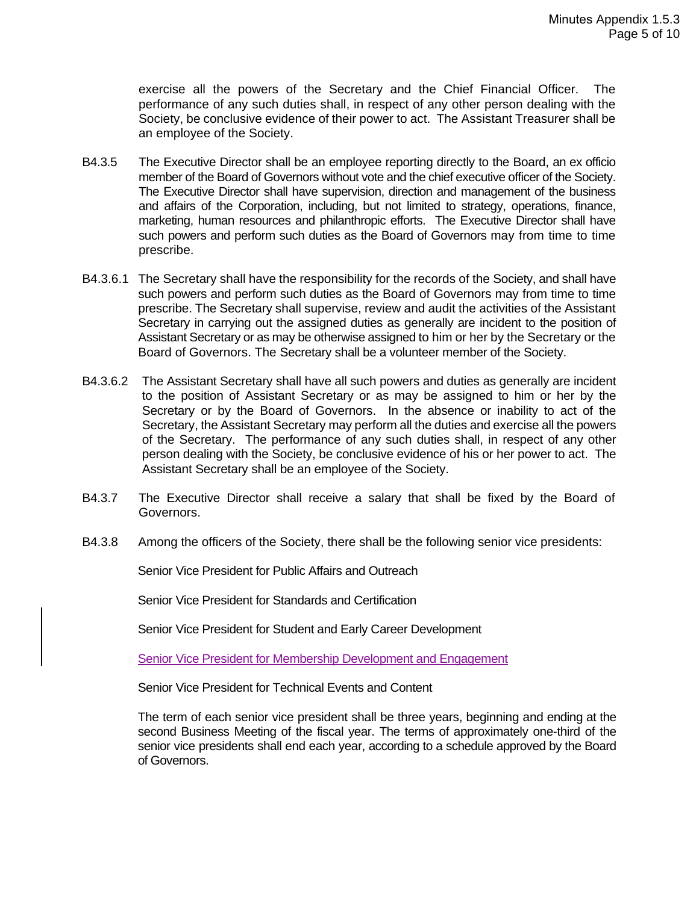exercise all the powers of the Secretary and the Chief Financial Officer. The performance of any such duties shall, in respect of any other person dealing with the Society, be conclusive evidence of their power to act. The Assistant Treasurer shall be an employee of the Society.

- B4.3.5 The Executive Director shall be an employee reporting directly to the Board, an ex officio member of the Board of Governors without vote and the chief executive officer of the Society. The Executive Director shall have supervision, direction and management of the business and affairs of the Corporation, including, but not limited to strategy, operations, finance, marketing, human resources and philanthropic efforts. The Executive Director shall have such powers and perform such duties as the Board of Governors may from time to time prescribe.
- B4.3.6.1 The Secretary shall have the responsibility for the records of the Society, and shall have such powers and perform such duties as the Board of Governors may from time to time prescribe. The Secretary shall supervise, review and audit the activities of the Assistant Secretary in carrying out the assigned duties as generally are incident to the position of Assistant Secretary or as may be otherwise assigned to him or her by the Secretary or the Board of Governors. The Secretary shall be a volunteer member of the Society.
- B4.3.6.2 The Assistant Secretary shall have all such powers and duties as generally are incident to the position of Assistant Secretary or as may be assigned to him or her by the Secretary or by the Board of Governors. In the absence or inability to act of the Secretary, the Assistant Secretary may perform all the duties and exercise all the powers of the Secretary. The performance of any such duties shall, in respect of any other person dealing with the Society, be conclusive evidence of his or her power to act. The Assistant Secretary shall be an employee of the Society.
- B4.3.7 The Executive Director shall receive a salary that shall be fixed by the Board of Governors.
- B4.3.8 Among the officers of the Society, there shall be the following senior vice presidents:

Senior Vice President for Public Affairs and Outreach

Senior Vice President for Standards and Certification

Senior Vice President for Student and Early Career Development

Senior Vice President for Membership Development and Engagement

Senior Vice President for Technical Events and Content

The term of each senior vice president shall be three years, beginning and ending at the second Business Meeting of the fiscal year. The terms of approximately one-third of the senior vice presidents shall end each year, according to a schedule approved by the Board of Governors.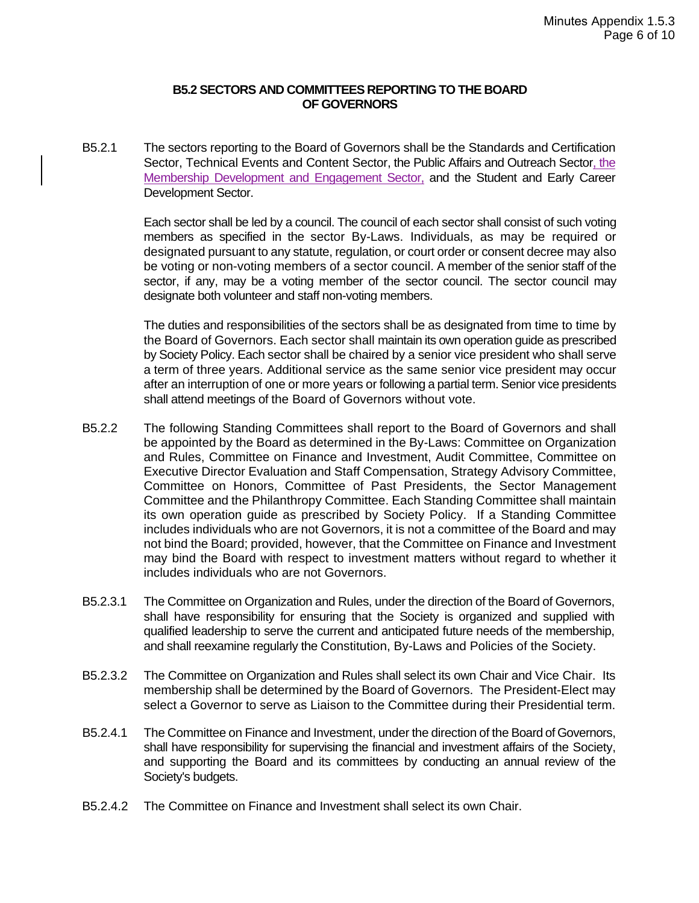#### **B5.2 SECTORS AND COMMITTEES REPORTING TO THE BOARD OF GOVERNORS**

B5.2.1 The sectors reporting to the Board of Governors shall be the Standards and Certification Sector, Technical Events and Content Sector, the Public Affairs and Outreach Sector, the Membership Development and Engagement Sector, and the Student and Early Career Development Sector.

> Each sector shall be led by a council. The council of each sector shall consist of such voting members as specified in the sector By-Laws. Individuals, as may be required or designated pursuant to any statute, regulation, or court order or consent decree may also be voting or non-voting members of a sector council. A member of the senior staff of the sector, if any, may be a voting member of the sector council. The sector council may designate both volunteer and staff non-voting members.

> The duties and responsibilities of the sectors shall be as designated from time to time by the Board of Governors. Each sector shall maintain its own operation guide as prescribed by Society Policy. Each sector shall be chaired by a senior vice president who shall serve a term of three years. Additional service as the same senior vice president may occur after an interruption of one or more years or following a partial term. Senior vice presidents shall attend meetings of the Board of Governors without vote.

- B5.2.2 The following Standing Committees shall report to the Board of Governors and shall be appointed by the Board as determined in the By-Laws: Committee on Organization and Rules, Committee on Finance and Investment, Audit Committee, Committee on Executive Director Evaluation and Staff Compensation, Strategy Advisory Committee, Committee on Honors, Committee of Past Presidents, the Sector Management Committee and the Philanthropy Committee. Each Standing Committee shall maintain its own operation guide as prescribed by Society Policy. If a Standing Committee includes individuals who are not Governors, it is not a committee of the Board and may not bind the Board; provided, however, that the Committee on Finance and Investment may bind the Board with respect to investment matters without regard to whether it includes individuals who are not Governors.
- B5.2.3.1 The Committee on Organization and Rules, under the direction of the Board of Governors, shall have responsibility for ensuring that the Society is organized and supplied with qualified leadership to serve the current and anticipated future needs of the membership, and shall reexamine regularly the Constitution, By-Laws and Policies of the Society.
- B5.2.3.2 The Committee on Organization and Rules shall select its own Chair and Vice Chair. Its membership shall be determined by the Board of Governors. The President-Elect may select a Governor to serve as Liaison to the Committee during their Presidential term.
- B5.2.4.1 The Committee on Finance and Investment, under the direction of the Board of Governors, shall have responsibility for supervising the financial and investment affairs of the Society, and supporting the Board and its committees by conducting an annual review of the Society's budgets.
- B5.2.4.2 The Committee on Finance and Investment shall select its own Chair.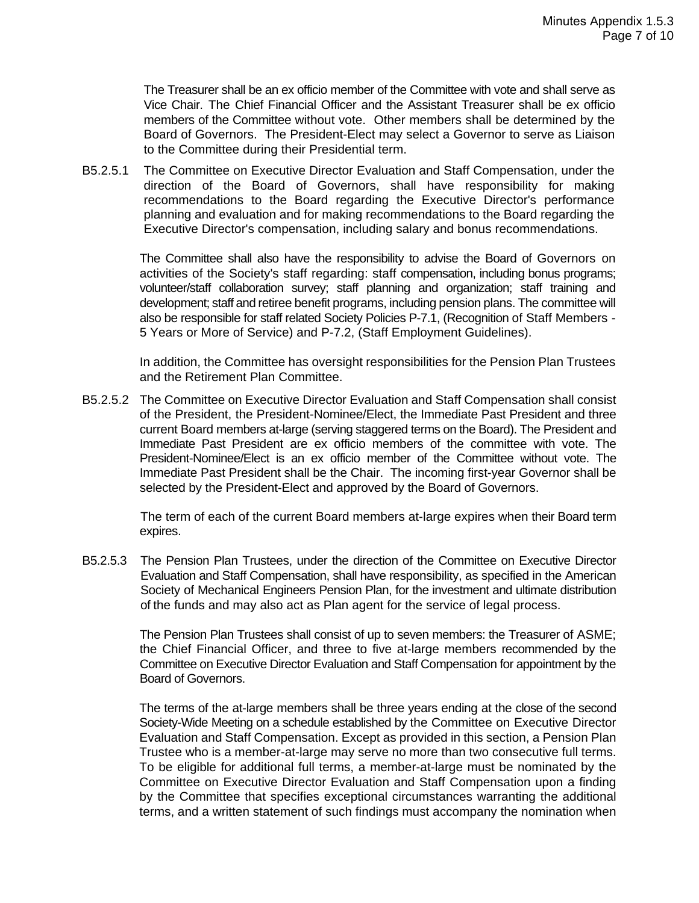The Treasurer shall be an ex officio member of the Committee with vote and shall serve as Vice Chair. The Chief Financial Officer and the Assistant Treasurer shall be ex officio members of the Committee without vote. Other members shall be determined by the Board of Governors. The President-Elect may select a Governor to serve as Liaison to the Committee during their Presidential term.

B5.2.5.1 The Committee on Executive Director Evaluation and Staff Compensation, under the direction of the Board of Governors, shall have responsibility for making recommendations to the Board regarding the Executive Director's performance planning and evaluation and for making recommendations to the Board regarding the Executive Director's compensation, including salary and bonus recommendations.

> The Committee shall also have the responsibility to advise the Board of Governors on activities of the Society's staff regarding: staff compensation, including bonus programs; volunteer/staff collaboration survey; staff planning and organization; staff training and development; staff and retiree benefit programs, including pension plans. The committee will also be responsible for staff related Society Policies P-7.1, (Recognition of Staff Members - 5 Years or More of Service) and P-7.2, (Staff Employment Guidelines).

> In addition, the Committee has oversight responsibilities for the Pension Plan Trustees and the Retirement Plan Committee.

B5.2.5.2 The Committee on Executive Director Evaluation and Staff Compensation shall consist of the President, the President-Nominee/Elect, the Immediate Past President and three current Board members at-large (serving staggered terms on the Board). The President and Immediate Past President are ex officio members of the committee with vote. The President-Nominee/Elect is an ex officio member of the Committee without vote. The Immediate Past President shall be the Chair. The incoming first-year Governor shall be selected by the President-Elect and approved by the Board of Governors.

> The term of each of the current Board members at-large expires when their Board term expires.

B5.2.5.3 The Pension Plan Trustees, under the direction of the Committee on Executive Director Evaluation and Staff Compensation, shall have responsibility, as specified in the American Society of Mechanical Engineers Pension Plan, for the investment and ultimate distribution of the funds and may also act as Plan agent for the service of legal process.

> The Pension Plan Trustees shall consist of up to seven members: the Treasurer of ASME; the Chief Financial Officer, and three to five at-large members recommended by the Committee on Executive Director Evaluation and Staff Compensation for appointment by the Board of Governors.

> The terms of the at-large members shall be three years ending at the close of the second Society-Wide Meeting on a schedule established by the Committee on Executive Director Evaluation and Staff Compensation. Except as provided in this section, a Pension Plan Trustee who is a member-at-large may serve no more than two consecutive full terms. To be eligible for additional full terms, a member-at-large must be nominated by the Committee on Executive Director Evaluation and Staff Compensation upon a finding by the Committee that specifies exceptional circumstances warranting the additional terms, and a written statement of such findings must accompany the nomination when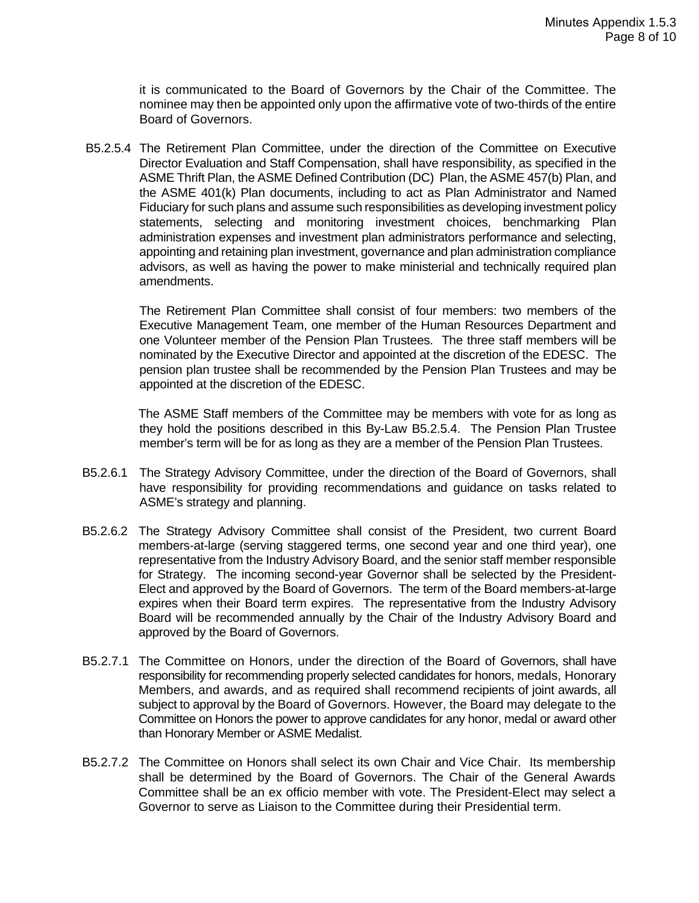it is communicated to the Board of Governors by the Chair of the Committee. The nominee may then be appointed only upon the affirmative vote of two-thirds of the entire Board of Governors.

B5.2.5.4 The Retirement Plan Committee, under the direction of the Committee on Executive Director Evaluation and Staff Compensation, shall have responsibility, as specified in the ASME Thrift Plan, the ASME Defined Contribution (DC) Plan, the ASME 457(b) Plan, and the ASME 401(k) Plan documents, including to act as Plan Administrator and Named Fiduciary for such plans and assume such responsibilities as developing investment policy statements, selecting and monitoring investment choices, benchmarking Plan administration expenses and investment plan administrators performance and selecting, appointing and retaining plan investment, governance and plan administration compliance advisors, as well as having the power to make ministerial and technically required plan amendments.

The Retirement Plan Committee shall consist of four members: two members of the Executive Management Team, one member of the Human Resources Department and one Volunteer member of the Pension Plan Trustees. The three staff members will be nominated by the Executive Director and appointed at the discretion of the EDESC. The pension plan trustee shall be recommended by the Pension Plan Trustees and may be appointed at the discretion of the EDESC.

The ASME Staff members of the Committee may be members with vote for as long as they hold the positions described in this By-Law B5.2.5.4. The Pension Plan Trustee member's term will be for as long as they are a member of the Pension Plan Trustees.

- B5.2.6.1 The Strategy Advisory Committee, under the direction of the Board of Governors, shall have responsibility for providing recommendations and guidance on tasks related to ASME's strategy and planning.
- B5.2.6.2 The Strategy Advisory Committee shall consist of the President, two current Board members-at-large (serving staggered terms, one second year and one third year), one representative from the Industry Advisory Board, and the senior staff member responsible for Strategy. The incoming second-year Governor shall be selected by the President-Elect and approved by the Board of Governors. The term of the Board members-at-large expires when their Board term expires. The representative from the Industry Advisory Board will be recommended annually by the Chair of the Industry Advisory Board and approved by the Board of Governors.
- B5.2.7.1 The Committee on Honors, under the direction of the Board of Governors, shall have responsibility for recommending properly selected candidates for honors, medals, Honorary Members, and awards, and as required shall recommend recipients of joint awards, all subject to approval by the Board of Governors. However, the Board may delegate to the Committee on Honors the power to approve candidates for any honor, medal or award other than Honorary Member or ASME Medalist.
- B5.2.7.2 The Committee on Honors shall select its own Chair and Vice Chair. Its membership shall be determined by the Board of Governors. The Chair of the General Awards Committee shall be an ex officio member with vote. The President-Elect may select a Governor to serve as Liaison to the Committee during their Presidential term.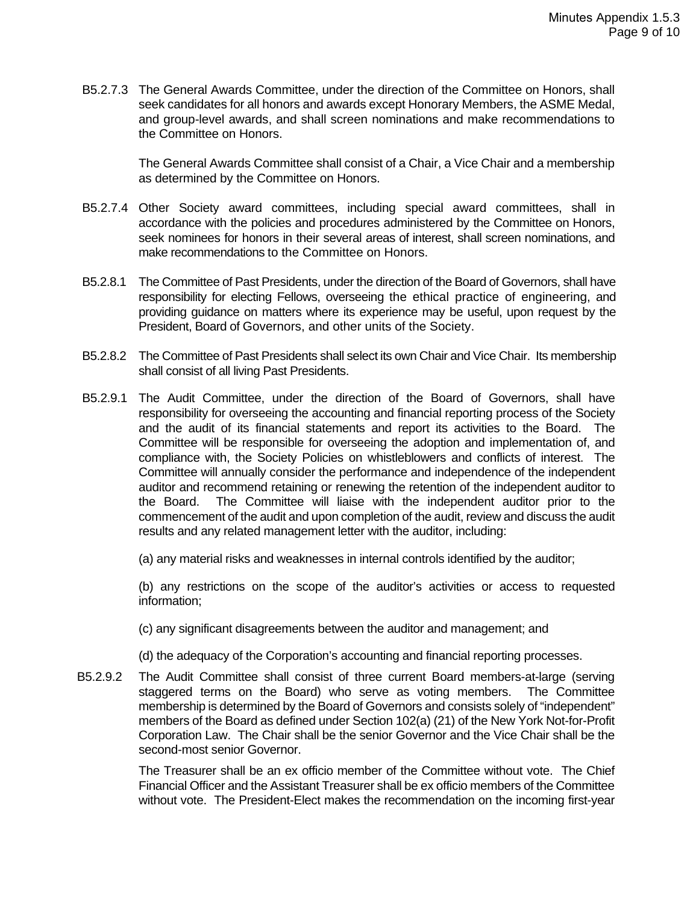B5.2.7.3 The General Awards Committee, under the direction of the Committee on Honors, shall seek candidates for all honors and awards except Honorary Members, the ASME Medal, and group-level awards, and shall screen nominations and make recommendations to the Committee on Honors.

> The General Awards Committee shall consist of a Chair, a Vice Chair and a membership as determined by the Committee on Honors.

- B5.2.7.4 Other Society award committees, including special award committees, shall in accordance with the policies and procedures administered by the Committee on Honors, seek nominees for honors in their several areas of interest, shall screen nominations, and make recommendations to the Committee on Honors.
- B5.2.8.1 The Committee of Past Presidents, under the direction of the Board of Governors, shall have responsibility for electing Fellows, overseeing the ethical practice of engineering, and providing guidance on matters where its experience may be useful, upon request by the President, Board of Governors, and other units of the Society.
- B5.2.8.2 The Committee of Past Presidents shall select its own Chair and Vice Chair. Its membership shall consist of all living Past Presidents.
- B5.2.9.1 The Audit Committee, under the direction of the Board of Governors, shall have responsibility for overseeing the accounting and financial reporting process of the Society and the audit of its financial statements and report its activities to the Board. The Committee will be responsible for overseeing the adoption and implementation of, and compliance with, the Society Policies on whistleblowers and conflicts of interest. The Committee will annually consider the performance and independence of the independent auditor and recommend retaining or renewing the retention of the independent auditor to the Board. The Committee will liaise with the independent auditor prior to the commencement of the audit and upon completion of the audit, review and discuss the audit results and any related management letter with the auditor, including:

(a) any material risks and weaknesses in internal controls identified by the auditor;

(b) any restrictions on the scope of the auditor's activities or access to requested information;

(c) any significant disagreements between the auditor and management; and

- (d) the adequacy of the Corporation's accounting and financial reporting processes.
- B5.2.9.2 The Audit Committee shall consist of three current Board members-at-large (serving staggered terms on the Board) who serve as voting members. The Committee membership is determined by the Board of Governors and consists solely of "independent" members of the Board as defined under Section 102(a) (21) of the New York Not-for-Profit Corporation Law. The Chair shall be the senior Governor and the Vice Chair shall be the second-most senior Governor.

The Treasurer shall be an ex officio member of the Committee without vote. The Chief Financial Officer and the Assistant Treasurer shall be ex officio members of the Committee without vote. The President-Elect makes the recommendation on the incoming first-year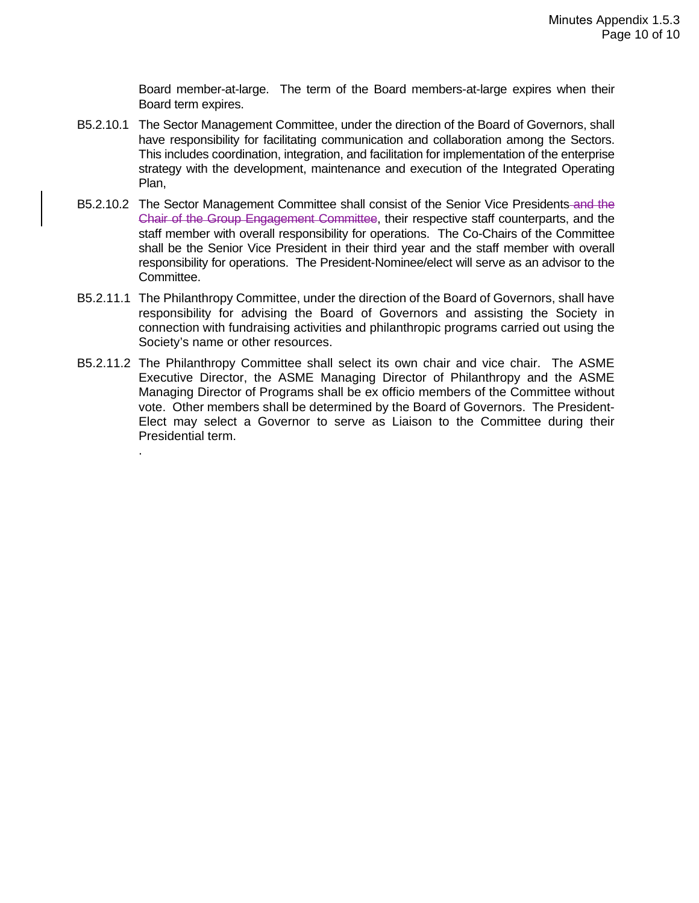Board member-at-large. The term of the Board members-at-large expires when their Board term expires.

- B5.2.10.1 The Sector Management Committee, under the direction of the Board of Governors, shall have responsibility for facilitating communication and collaboration among the Sectors. This includes coordination, integration, and facilitation for implementation of the enterprise strategy with the development, maintenance and execution of the Integrated Operating Plan,
- B5.2.10.2 The Sector Management Committee shall consist of the Senior Vice Presidents and the Chair of the Group Engagement Committee, their respective staff counterparts, and the staff member with overall responsibility for operations. The Co-Chairs of the Committee shall be the Senior Vice President in their third year and the staff member with overall responsibility for operations. The President-Nominee/elect will serve as an advisor to the Committee.
- B5.2.11.1 The Philanthropy Committee, under the direction of the Board of Governors, shall have responsibility for advising the Board of Governors and assisting the Society in connection with fundraising activities and philanthropic programs carried out using the Society's name or other resources.
- B5.2.11.2 The Philanthropy Committee shall select its own chair and vice chair. The ASME Executive Director, the ASME Managing Director of Philanthropy and the ASME Managing Director of Programs shall be ex officio members of the Committee without vote. Other members shall be determined by the Board of Governors. The President-Elect may select a Governor to serve as Liaison to the Committee during their Presidential term.

.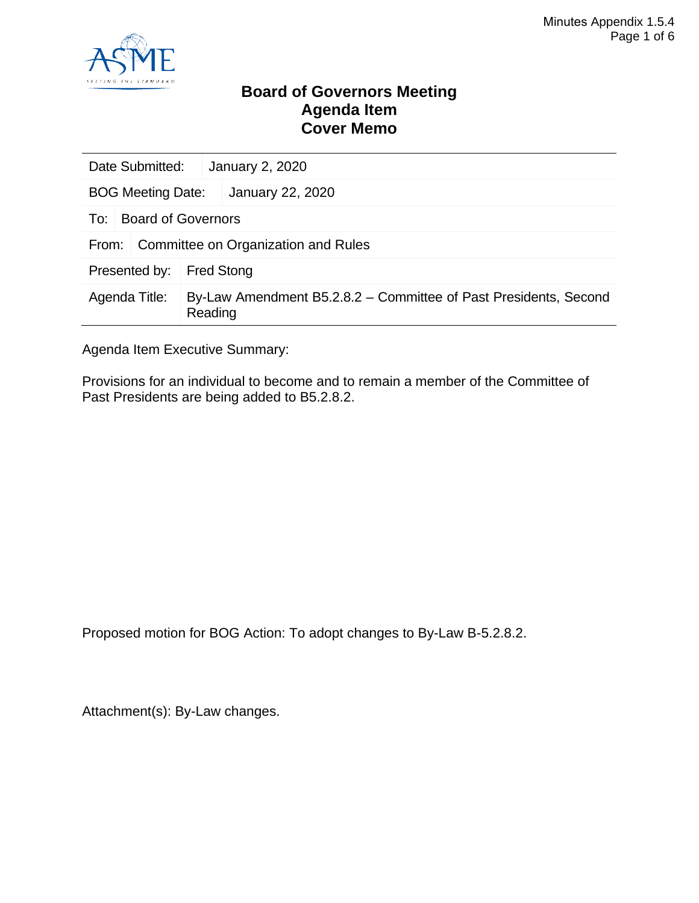

### **Board of Governors Meeting Agenda Item Cover Memo**

| Date Submitted:                              |                                                                             | January 2, 2020   |  |  |
|----------------------------------------------|-----------------------------------------------------------------------------|-------------------|--|--|
| January 22, 2020<br><b>BOG Meeting Date:</b> |                                                                             |                   |  |  |
| To:                                          | <b>Board of Governors</b>                                                   |                   |  |  |
| Committee on Organization and Rules<br>From: |                                                                             |                   |  |  |
| Presented by:                                |                                                                             | <b>Fred Stong</b> |  |  |
| Agenda Title:                                | By-Law Amendment B5.2.8.2 – Committee of Past Presidents, Second<br>Reading |                   |  |  |

Agenda Item Executive Summary:

Provisions for an individual to become and to remain a member of the Committee of Past Presidents are being added to B5.2.8.2.

Proposed motion for BOG Action: To adopt changes to By-Law B-5.2.8.2.

Attachment(s): By-Law changes.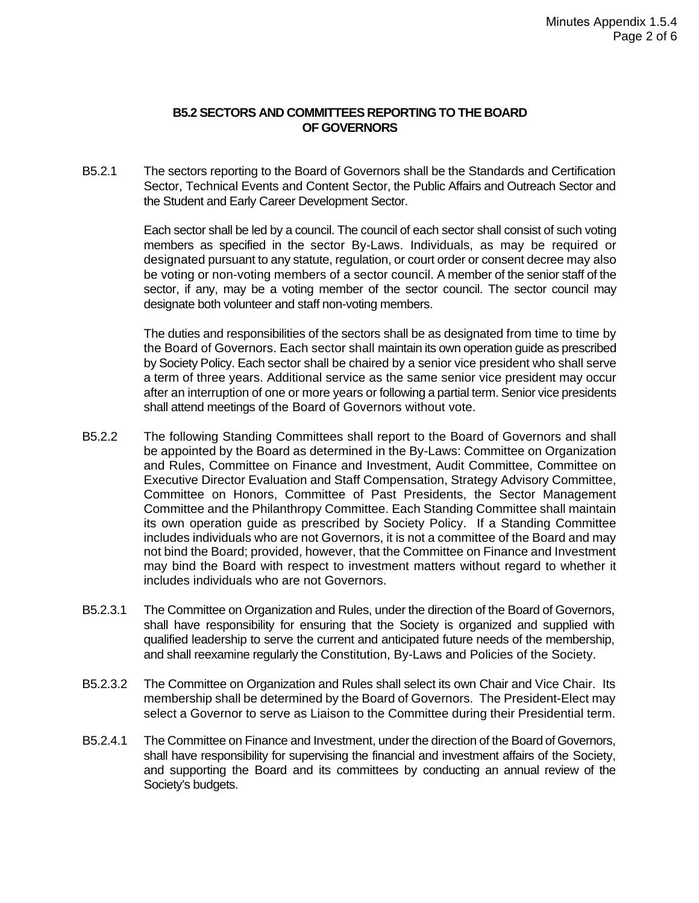#### **B5.2 SECTORS AND COMMITTEES REPORTING TO THE BOARD OF GOVERNORS**

B5.2.1 The sectors reporting to the Board of Governors shall be the Standards and Certification Sector, Technical Events and Content Sector, the Public Affairs and Outreach Sector and the Student and Early Career Development Sector.

> Each sector shall be led by a council. The council of each sector shall consist of such voting members as specified in the sector By-Laws. Individuals, as may be required or designated pursuant to any statute, regulation, or court order or consent decree may also be voting or non-voting members of a sector council. A member of the senior staff of the sector, if any, may be a voting member of the sector council. The sector council may designate both volunteer and staff non-voting members.

> The duties and responsibilities of the sectors shall be as designated from time to time by the Board of Governors. Each sector shall maintain its own operation guide as prescribed by Society Policy. Each sector shall be chaired by a senior vice president who shall serve a term of three years. Additional service as the same senior vice president may occur after an interruption of one or more years or following a partial term. Senior vice presidents shall attend meetings of the Board of Governors without vote.

- B5.2.2 The following Standing Committees shall report to the Board of Governors and shall be appointed by the Board as determined in the By-Laws: Committee on Organization and Rules, Committee on Finance and Investment, Audit Committee, Committee on Executive Director Evaluation and Staff Compensation, Strategy Advisory Committee, Committee on Honors, Committee of Past Presidents, the Sector Management Committee and the Philanthropy Committee. Each Standing Committee shall maintain its own operation guide as prescribed by Society Policy. If a Standing Committee includes individuals who are not Governors, it is not a committee of the Board and may not bind the Board; provided, however, that the Committee on Finance and Investment may bind the Board with respect to investment matters without regard to whether it includes individuals who are not Governors.
- B5.2.3.1 The Committee on Organization and Rules, under the direction of the Board of Governors, shall have responsibility for ensuring that the Society is organized and supplied with qualified leadership to serve the current and anticipated future needs of the membership, and shall reexamine regularly the Constitution, By-Laws and Policies of the Society.
- B5.2.3.2 The Committee on Organization and Rules shall select its own Chair and Vice Chair. Its membership shall be determined by the Board of Governors. The President-Elect may select a Governor to serve as Liaison to the Committee during their Presidential term.
- B5.2.4.1 The Committee on Finance and Investment, under the direction of the Board of Governors, shall have responsibility for supervising the financial and investment affairs of the Society, and supporting the Board and its committees by conducting an annual review of the Society's budgets.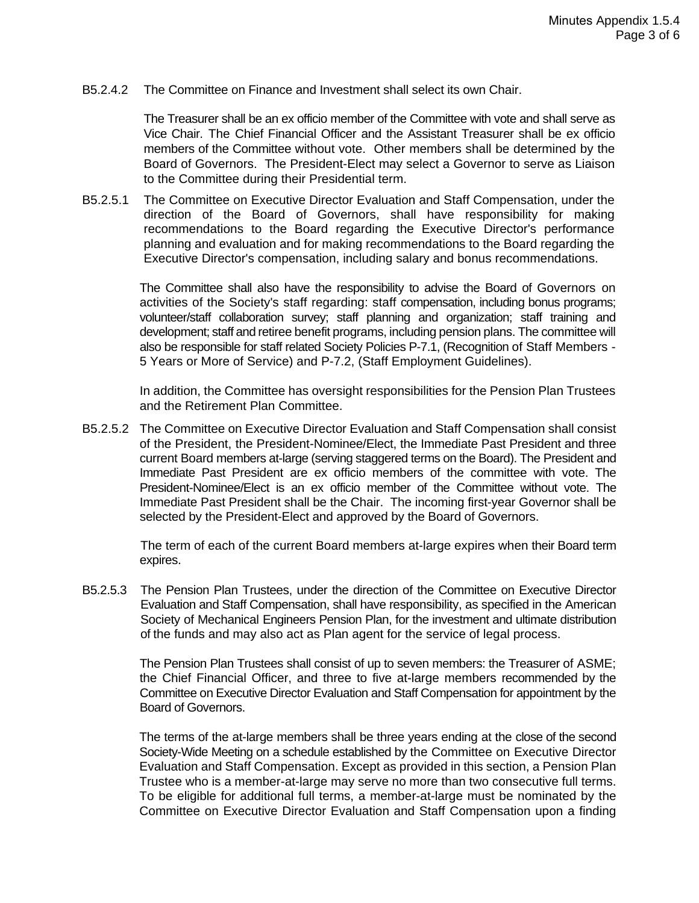B5.2.4.2 The Committee on Finance and Investment shall select its own Chair.

The Treasurer shall be an ex officio member of the Committee with vote and shall serve as Vice Chair. The Chief Financial Officer and the Assistant Treasurer shall be ex officio members of the Committee without vote. Other members shall be determined by the Board of Governors. The President-Elect may select a Governor to serve as Liaison to the Committee during their Presidential term.

B5.2.5.1 The Committee on Executive Director Evaluation and Staff Compensation, under the direction of the Board of Governors, shall have responsibility for making recommendations to the Board regarding the Executive Director's performance planning and evaluation and for making recommendations to the Board regarding the Executive Director's compensation, including salary and bonus recommendations.

> The Committee shall also have the responsibility to advise the Board of Governors on activities of the Society's staff regarding: staff compensation, including bonus programs; volunteer/staff collaboration survey; staff planning and organization; staff training and development; staff and retiree benefit programs, including pension plans. The committee will also be responsible for staff related Society Policies P-7.1, (Recognition of Staff Members - 5 Years or More of Service) and P-7.2, (Staff Employment Guidelines).

> In addition, the Committee has oversight responsibilities for the Pension Plan Trustees and the Retirement Plan Committee.

B5.2.5.2 The Committee on Executive Director Evaluation and Staff Compensation shall consist of the President, the President-Nominee/Elect, the Immediate Past President and three current Board members at-large (serving staggered terms on the Board). The President and Immediate Past President are ex officio members of the committee with vote. The President-Nominee/Elect is an ex officio member of the Committee without vote. The Immediate Past President shall be the Chair. The incoming first-year Governor shall be selected by the President-Elect and approved by the Board of Governors.

> The term of each of the current Board members at-large expires when their Board term expires.

B5.2.5.3 The Pension Plan Trustees, under the direction of the Committee on Executive Director Evaluation and Staff Compensation, shall have responsibility, as specified in the American Society of Mechanical Engineers Pension Plan, for the investment and ultimate distribution of the funds and may also act as Plan agent for the service of legal process.

> The Pension Plan Trustees shall consist of up to seven members: the Treasurer of ASME; the Chief Financial Officer, and three to five at-large members recommended by the Committee on Executive Director Evaluation and Staff Compensation for appointment by the Board of Governors.

> The terms of the at-large members shall be three years ending at the close of the second Society-Wide Meeting on a schedule established by the Committee on Executive Director Evaluation and Staff Compensation. Except as provided in this section, a Pension Plan Trustee who is a member-at-large may serve no more than two consecutive full terms. To be eligible for additional full terms, a member-at-large must be nominated by the Committee on Executive Director Evaluation and Staff Compensation upon a finding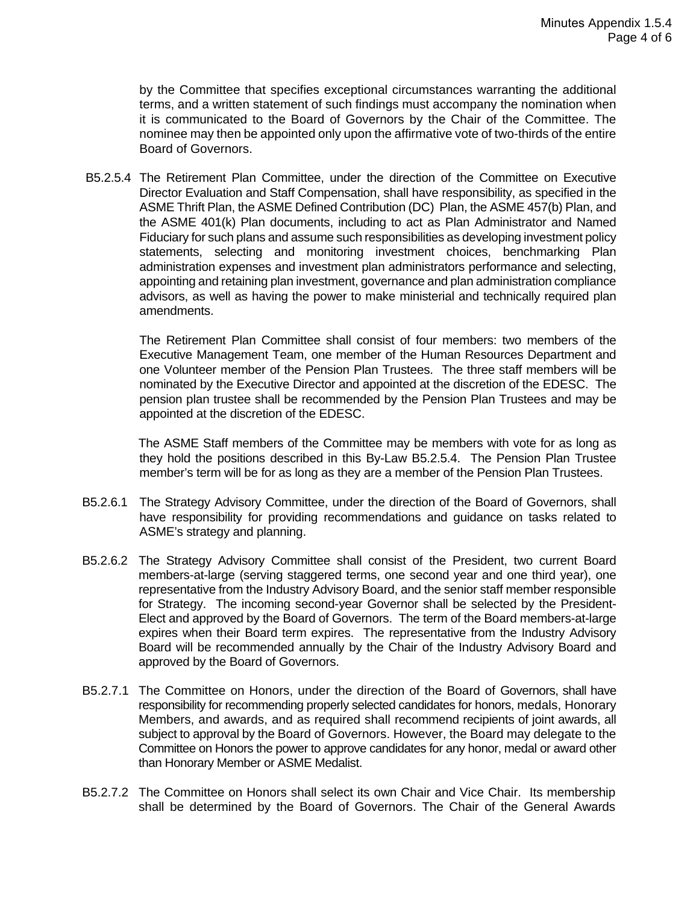by the Committee that specifies exceptional circumstances warranting the additional terms, and a written statement of such findings must accompany the nomination when it is communicated to the Board of Governors by the Chair of the Committee. The nominee may then be appointed only upon the affirmative vote of two-thirds of the entire Board of Governors.

B5.2.5.4 The Retirement Plan Committee, under the direction of the Committee on Executive Director Evaluation and Staff Compensation, shall have responsibility, as specified in the ASME Thrift Plan, the ASME Defined Contribution (DC) Plan, the ASME 457(b) Plan, and the ASME 401(k) Plan documents, including to act as Plan Administrator and Named Fiduciary for such plans and assume such responsibilities as developing investment policy statements, selecting and monitoring investment choices, benchmarking Plan administration expenses and investment plan administrators performance and selecting, appointing and retaining plan investment, governance and plan administration compliance advisors, as well as having the power to make ministerial and technically required plan amendments.

The Retirement Plan Committee shall consist of four members: two members of the Executive Management Team, one member of the Human Resources Department and one Volunteer member of the Pension Plan Trustees. The three staff members will be nominated by the Executive Director and appointed at the discretion of the EDESC. The pension plan trustee shall be recommended by the Pension Plan Trustees and may be appointed at the discretion of the EDESC.

The ASME Staff members of the Committee may be members with vote for as long as they hold the positions described in this By-Law B5.2.5.4. The Pension Plan Trustee member's term will be for as long as they are a member of the Pension Plan Trustees.

- B5.2.6.1 The Strategy Advisory Committee, under the direction of the Board of Governors, shall have responsibility for providing recommendations and guidance on tasks related to ASME's strategy and planning.
- B5.2.6.2 The Strategy Advisory Committee shall consist of the President, two current Board members-at-large (serving staggered terms, one second year and one third year), one representative from the Industry Advisory Board, and the senior staff member responsible for Strategy. The incoming second-year Governor shall be selected by the President-Elect and approved by the Board of Governors. The term of the Board members-at-large expires when their Board term expires. The representative from the Industry Advisory Board will be recommended annually by the Chair of the Industry Advisory Board and approved by the Board of Governors.
- B5.2.7.1 The Committee on Honors, under the direction of the Board of Governors, shall have responsibility for recommending properly selected candidates for honors, medals, Honorary Members, and awards, and as required shall recommend recipients of joint awards, all subject to approval by the Board of Governors. However, the Board may delegate to the Committee on Honors the power to approve candidates for any honor, medal or award other than Honorary Member or ASME Medalist.
- B5.2.7.2 The Committee on Honors shall select its own Chair and Vice Chair. Its membership shall be determined by the Board of Governors. The Chair of the General Awards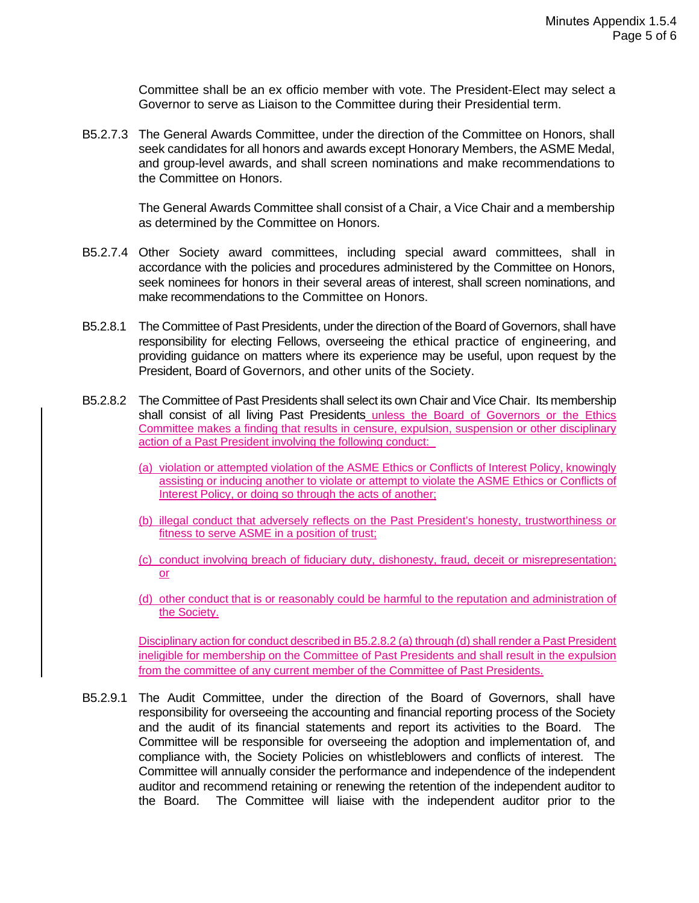Committee shall be an ex officio member with vote. The President-Elect may select a Governor to serve as Liaison to the Committee during their Presidential term.

B5.2.7.3 The General Awards Committee, under the direction of the Committee on Honors, shall seek candidates for all honors and awards except Honorary Members, the ASME Medal, and group-level awards, and shall screen nominations and make recommendations to the Committee on Honors.

> The General Awards Committee shall consist of a Chair, a Vice Chair and a membership as determined by the Committee on Honors.

- B5.2.7.4 Other Society award committees, including special award committees, shall in accordance with the policies and procedures administered by the Committee on Honors, seek nominees for honors in their several areas of interest, shall screen nominations, and make recommendations to the Committee on Honors.
- B5.2.8.1 The Committee of Past Presidents, under the direction of the Board of Governors, shall have responsibility for electing Fellows, overseeing the ethical practice of engineering, and providing guidance on matters where its experience may be useful, upon request by the President, Board of Governors, and other units of the Society.
- B5.2.8.2 The Committee of Past Presidents shall select its own Chair and Vice Chair. Its membership shall consist of all living Past Presidents unless the Board of Governors or the Ethics Committee makes a finding that results in censure, expulsion, suspension or other disciplinary action of a Past President involving the following conduct:
	- (a) violation or attempted violation of the ASME Ethics or Conflicts of Interest Policy, knowingly assisting or inducing another to violate or attempt to violate the ASME Ethics or Conflicts of Interest Policy, or doing so through the acts of another;
	- (b) illegal conduct that adversely reflects on the Past President's honesty, trustworthiness or fitness to serve ASME in a position of trust;
	- (c) conduct involving breach of fiduciary duty, dishonesty, fraud, deceit or misrepresentation; or
	- (d) other conduct that is or reasonably could be harmful to the reputation and administration of the Society.

Disciplinary action for conduct described in B5.2.8.2 (a) through (d) shall render a Past President ineligible for membership on the Committee of Past Presidents and shall result in the expulsion from the committee of any current member of the Committee of Past Presidents.

B5.2.9.1 The Audit Committee, under the direction of the Board of Governors, shall have responsibility for overseeing the accounting and financial reporting process of the Society and the audit of its financial statements and report its activities to the Board. The Committee will be responsible for overseeing the adoption and implementation of, and compliance with, the Society Policies on whistleblowers and conflicts of interest. The Committee will annually consider the performance and independence of the independent auditor and recommend retaining or renewing the retention of the independent auditor to the Board. The Committee will liaise with the independent auditor prior to the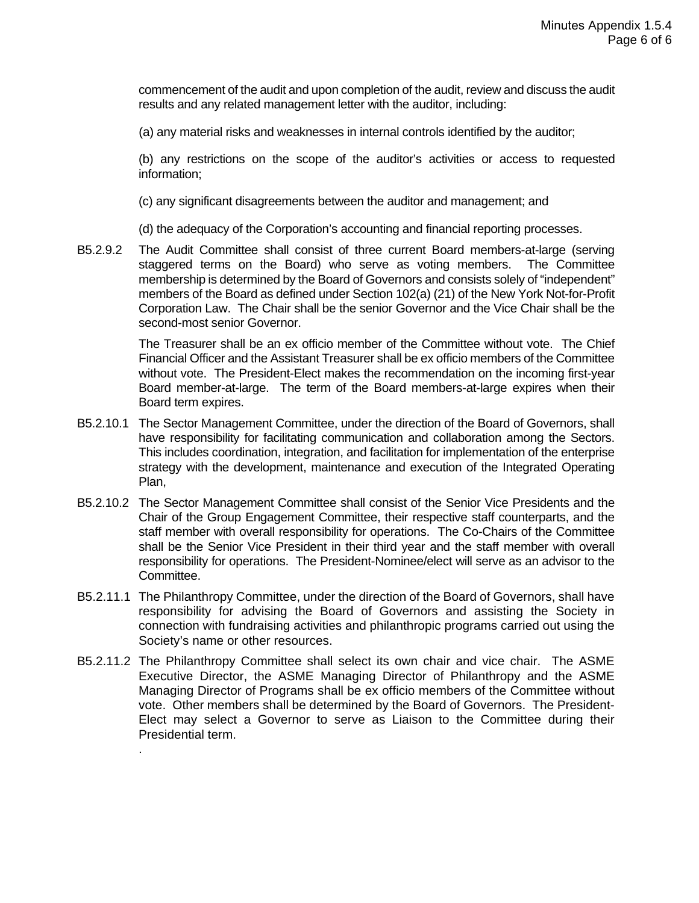commencement of the audit and upon completion of the audit, review and discuss the audit results and any related management letter with the auditor, including:

(a) any material risks and weaknesses in internal controls identified by the auditor;

(b) any restrictions on the scope of the auditor's activities or access to requested information;

(c) any significant disagreements between the auditor and management; and

(d) the adequacy of the Corporation's accounting and financial reporting processes.

B5.2.9.2 The Audit Committee shall consist of three current Board members-at-large (serving staggered terms on the Board) who serve as voting members. The Committee membership is determined by the Board of Governors and consists solely of "independent" members of the Board as defined under Section 102(a) (21) of the New York Not-for-Profit Corporation Law. The Chair shall be the senior Governor and the Vice Chair shall be the second-most senior Governor.

> The Treasurer shall be an ex officio member of the Committee without vote. The Chief Financial Officer and the Assistant Treasurer shall be ex officio members of the Committee without vote. The President-Elect makes the recommendation on the incoming first-year Board member-at-large. The term of the Board members-at-large expires when their Board term expires.

- B5.2.10.1 The Sector Management Committee, under the direction of the Board of Governors, shall have responsibility for facilitating communication and collaboration among the Sectors. This includes coordination, integration, and facilitation for implementation of the enterprise strategy with the development, maintenance and execution of the Integrated Operating Plan,
- B5.2.10.2 The Sector Management Committee shall consist of the Senior Vice Presidents and the Chair of the Group Engagement Committee, their respective staff counterparts, and the staff member with overall responsibility for operations. The Co-Chairs of the Committee shall be the Senior Vice President in their third year and the staff member with overall responsibility for operations. The President-Nominee/elect will serve as an advisor to the Committee.
- B5.2.11.1 The Philanthropy Committee, under the direction of the Board of Governors, shall have responsibility for advising the Board of Governors and assisting the Society in connection with fundraising activities and philanthropic programs carried out using the Society's name or other resources.
- B5.2.11.2 The Philanthropy Committee shall select its own chair and vice chair. The ASME Executive Director, the ASME Managing Director of Philanthropy and the ASME Managing Director of Programs shall be ex officio members of the Committee without vote. Other members shall be determined by the Board of Governors. The President-Elect may select a Governor to serve as Liaison to the Committee during their Presidential term.

.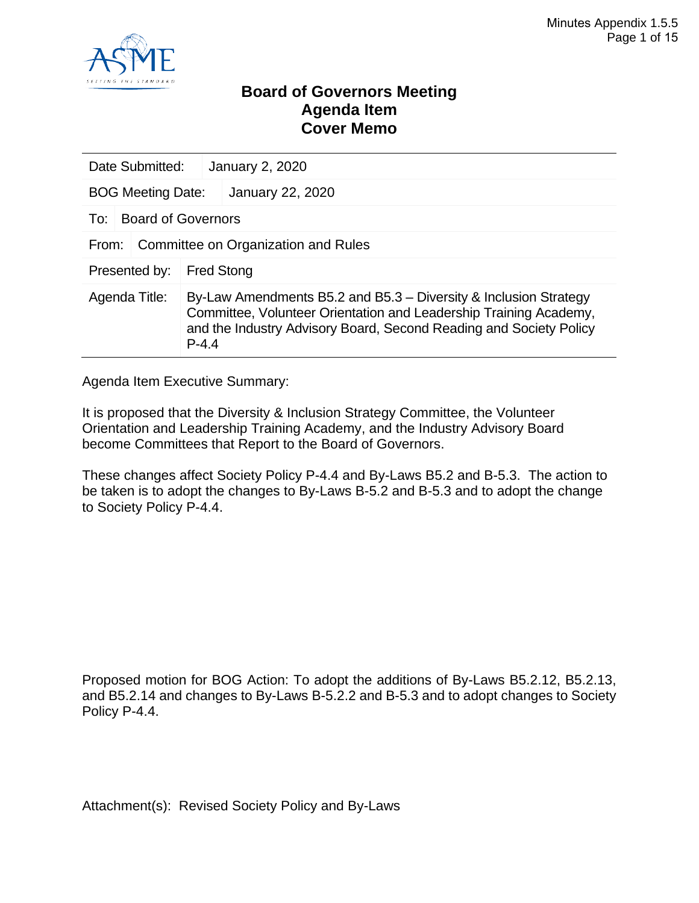

### **Board of Governors Meeting Agenda Item Cover Memo**

| Date Submitted:                              | <b>January 2, 2020</b>    |                                                                                                                                                                                                             |  |  |
|----------------------------------------------|---------------------------|-------------------------------------------------------------------------------------------------------------------------------------------------------------------------------------------------------------|--|--|
| <b>BOG Meeting Date:</b>                     |                           | <b>January 22, 2020</b>                                                                                                                                                                                     |  |  |
| To:                                          | <b>Board of Governors</b> |                                                                                                                                                                                                             |  |  |
| Committee on Organization and Rules<br>From: |                           |                                                                                                                                                                                                             |  |  |
| Presented by:                                | <b>Fred Stong</b>         |                                                                                                                                                                                                             |  |  |
| Agenda Title:<br>$P - 4.4$                   |                           | By-Law Amendments B5.2 and B5.3 – Diversity & Inclusion Strategy<br>Committee, Volunteer Orientation and Leadership Training Academy,<br>and the Industry Advisory Board, Second Reading and Society Policy |  |  |

Agenda Item Executive Summary:

It is proposed that the Diversity & Inclusion Strategy Committee, the Volunteer Orientation and Leadership Training Academy, and the Industry Advisory Board become Committees that Report to the Board of Governors.

These changes affect Society Policy P-4.4 and By-Laws B5.2 and B-5.3. The action to be taken is to adopt the changes to By-Laws B-5.2 and B-5.3 and to adopt the change to Society Policy P-4.4.

Proposed motion for BOG Action: To adopt the additions of By-Laws B5.2.12, B5.2.13, and B5.2.14 and changes to By-Laws B-5.2.2 and B-5.3 and to adopt changes to Society Policy P-4.4.

Attachment(s): Revised Society Policy and By-Laws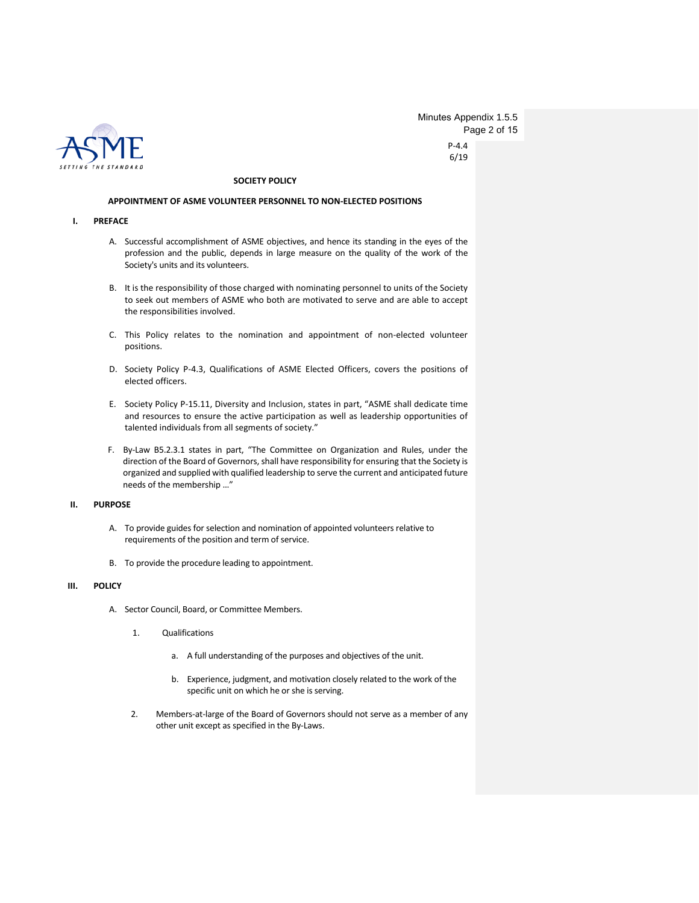

P-4.4 6/19 Minutes Appendix 1.5.5 Page 2 of 15

#### **SOCIETY POLICY**

#### **APPOINTMENT OF ASME VOLUNTEER PERSONNEL TO NON-ELECTED POSITIONS**

#### **I. PREFACE**

- A. Successful accomplishment of ASME objectives, and hence its standing in the eyes of the profession and the public, depends in large measure on the quality of the work of the Society's units and its volunteers.
- B. It is the responsibility of those charged with nominating personnel to units of the Society to seek out members of ASME who both are motivated to serve and are able to accept the responsibilities involved.
- C. This Policy relates to the nomination and appointment of non-elected volunteer positions.
- D. Society Policy P-4.3, Qualifications of ASME Elected Officers, covers the positions of elected officers.
- E. Society Policy P-15.11, Diversity and Inclusion, states in part, "ASME shall dedicate time and resources to ensure the active participation as well as leadership opportunities of talented individuals from all segments of society."
- F. By-Law B5.2.3.1 states in part, "The Committee on Organization and Rules, under the direction of the Board of Governors, shall have responsibility for ensuring that the Society is organized and supplied with qualified leadership to serve the current and anticipated future needs of the membership …"

#### **II. PURPOSE**

- A. To provide guides for selection and nomination of appointed volunteers relative to requirements of the position and term of service.
- B. To provide the procedure leading to appointment.

#### **III. POLICY**

- A. Sector Council, Board, or Committee Members.
	- 1. Qualifications
		- a. A full understanding of the purposes and objectives of the unit.
		- b. Experience, judgment, and motivation closely related to the work of the specific unit on which he or she is serving.
	- 2. Members-at-large of the Board of Governors should not serve as a member of any other unit except as specified in the By-Laws.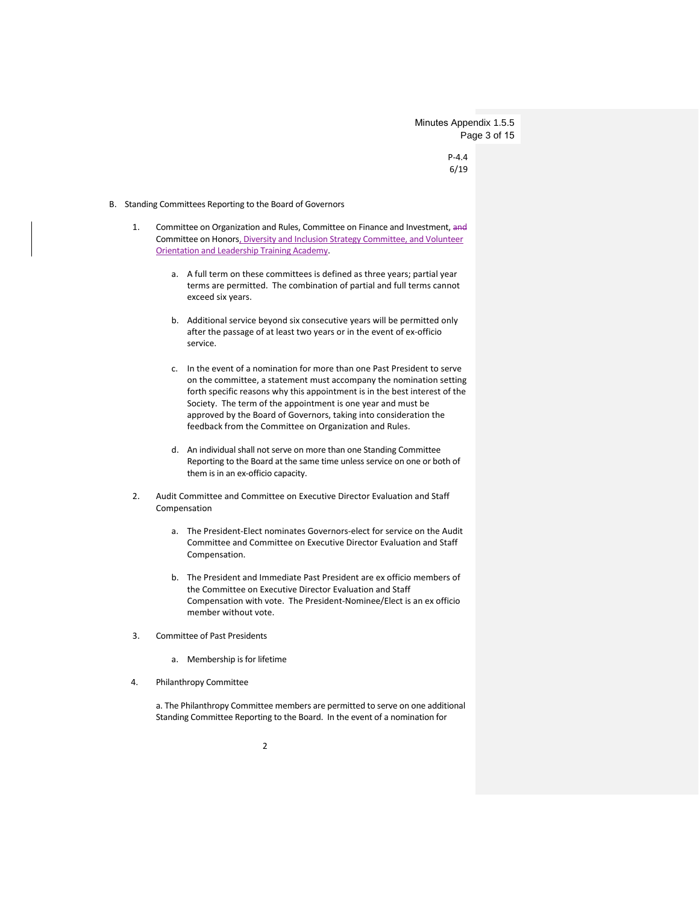Minutes Appendix 1.5.5 Page 3 of 15

> P-4.4 6/19

#### B. Standing Committees Reporting to the Board of Governors

- 1. Committee on Organization and Rules, Committee on Finance and Investment, and Committee on Honors, Diversity and Inclusion Strategy Committee, and Volunteer Orientation and Leadership Training Academy.
	- a. A full term on these committees is defined as three years; partial year terms are permitted. The combination of partial and full terms cannot exceed six years.
	- b. Additional service beyond six consecutive years will be permitted only after the passage of at least two years or in the event of ex-officio service.
	- c. In the event of a nomination for more than one Past President to serve on the committee, a statement must accompany the nomination setting forth specific reasons why this appointment is in the best interest of the Society. The term of the appointment is one year and must be approved by the Board of Governors, taking into consideration the feedback from the Committee on Organization and Rules.
	- d. An individual shall not serve on more than one Standing Committee Reporting to the Board at the same time unless service on one or both of them is in an ex-officio capacity.
- 2. Audit Committee and Committee on Executive Director Evaluation and Staff Compensation
	- a. The President-Elect nominates Governors-elect for service on the Audit Committee and Committee on Executive Director Evaluation and Staff Compensation.
	- b. The President and Immediate Past President are ex officio members of the Committee on Executive Director Evaluation and Staff Compensation with vote. The President-Nominee/Elect is an ex officio member without vote.
- 3. Committee of Past Presidents
	- a. Membership is for lifetime
- 4. Philanthropy Committee

a. The Philanthropy Committee members are permitted to serve on one additional Standing Committee Reporting to the Board. In the event of a nomination for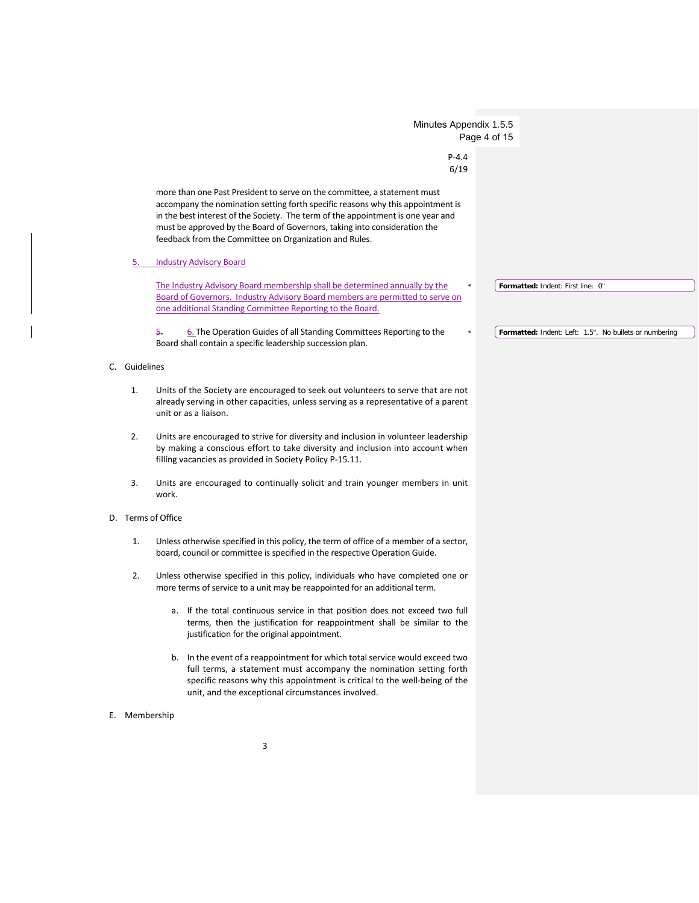|                    | Minutes Appendix 1.5.5                                                                                                                                                                                                                                                                                                                                                                 | Page 4 of 15                                           |
|--------------------|----------------------------------------------------------------------------------------------------------------------------------------------------------------------------------------------------------------------------------------------------------------------------------------------------------------------------------------------------------------------------------------|--------------------------------------------------------|
|                    | $P - 4.4$<br>6/19                                                                                                                                                                                                                                                                                                                                                                      |                                                        |
|                    | more than one Past President to serve on the committee, a statement must<br>accompany the nomination setting forth specific reasons why this appointment is<br>in the best interest of the Society. The term of the appointment is one year and<br>must be approved by the Board of Governors, taking into consideration the<br>feedback from the Committee on Organization and Rules. |                                                        |
| 5.                 | <b>Industry Advisory Board</b>                                                                                                                                                                                                                                                                                                                                                         |                                                        |
|                    | The Industry Advisory Board membership shall be determined annually by the<br>Board of Governors. Industry Advisory Board members are permitted to serve on<br>one additional Standing Committee Reporting to the Board.                                                                                                                                                               | Formatted: Indent: First line: 0"                      |
|                    | 6. The Operation Guides of all Standing Committees Reporting to the<br>5.<br>Board shall contain a specific leadership succession plan.                                                                                                                                                                                                                                                | Formatted: Indent: Left: 1.5", No bullets or numbering |
| Guidelines<br>C.   |                                                                                                                                                                                                                                                                                                                                                                                        |                                                        |
| 1.                 | Units of the Society are encouraged to seek out volunteers to serve that are not<br>already serving in other capacities, unless serving as a representative of a parent<br>unit or as a liaison.                                                                                                                                                                                       |                                                        |
| 2.                 | Units are encouraged to strive for diversity and inclusion in volunteer leadership<br>by making a conscious effort to take diversity and inclusion into account when<br>filling vacancies as provided in Society Policy P-15.11.                                                                                                                                                       |                                                        |
| 3.                 | Units are encouraged to continually solicit and train younger members in unit<br>work.                                                                                                                                                                                                                                                                                                 |                                                        |
| D. Terms of Office |                                                                                                                                                                                                                                                                                                                                                                                        |                                                        |
| 1.                 | Unless otherwise specified in this policy, the term of office of a member of a sector,<br>board, council or committee is specified in the respective Operation Guide.                                                                                                                                                                                                                  |                                                        |
| 2.                 | Unless otherwise specified in this policy, individuals who have completed one or<br>more terms of service to a unit may be reappointed for an additional term.                                                                                                                                                                                                                         |                                                        |
|                    | a. If the total continuous service in that position does not exceed two full<br>terms, then the justification for reappointment shall be similar to the<br>justification for the original appointment.                                                                                                                                                                                 |                                                        |
|                    | b. In the event of a reappointment for which total service would exceed two<br>full terms, a statement must accompany the nomination setting forth<br>specific reasons why this appointment is critical to the well-being of the<br>unit, and the exceptional circumstances involved.                                                                                                  |                                                        |
| E. Membership      |                                                                                                                                                                                                                                                                                                                                                                                        |                                                        |
|                    |                                                                                                                                                                                                                                                                                                                                                                                        |                                                        |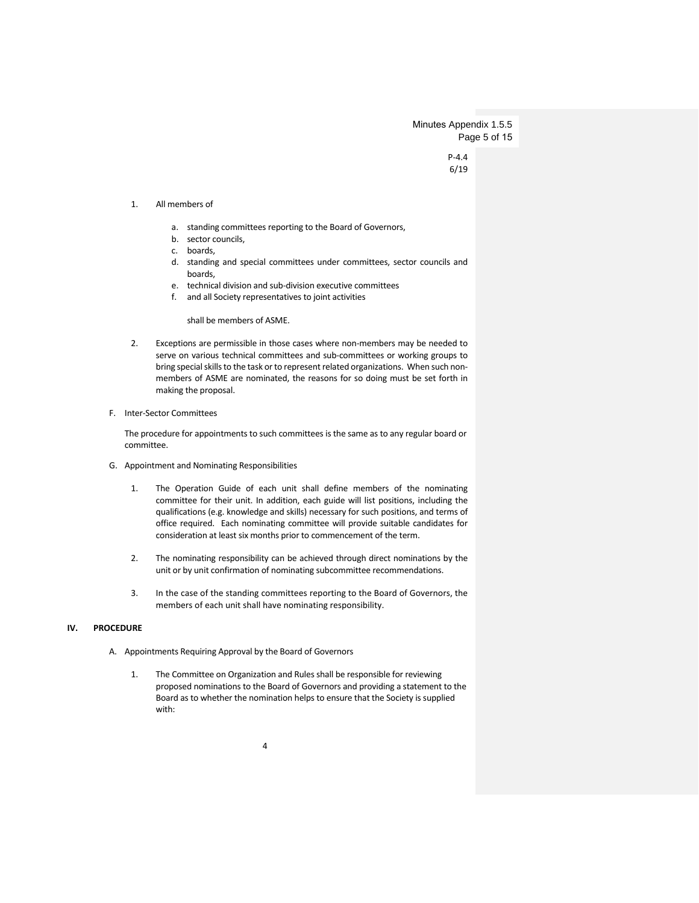Minutes Appendix 1.5.5 Page 5 of 15

> P-4.4 6/19

#### 1. All members of

- a. standing committees reporting to the Board of Governors,
- b. sector councils,
- c. boards,
- d. standing and special committees under committees, sector councils and boards,
- e. technical division and sub-division executive committees
- f. and all Society representatives to joint activities

shall be members of ASME.

- 2. Exceptions are permissible in those cases where non-members may be needed to serve on various technical committees and sub-committees or working groups to bring special skills to the task or to represent related organizations. When such nonmembers of ASME are nominated, the reasons for so doing must be set forth in making the proposal.
- F. Inter-Sector Committees

The procedure for appointments to such committees is the same as to any regular board or committee.

- G. Appointment and Nominating Responsibilities
	- 1. The Operation Guide of each unit shall define members of the nominating committee for their unit. In addition, each guide will list positions, including the qualifications (e.g. knowledge and skills) necessary for such positions, and terms of office required. Each nominating committee will provide suitable candidates for consideration at least six months prior to commencement of the term.
	- 2. The nominating responsibility can be achieved through direct nominations by the unit or by unit confirmation of nominating subcommittee recommendations.
	- 3. In the case of the standing committees reporting to the Board of Governors, the members of each unit shall have nominating responsibility.

#### **IV. PROCEDURE**

- A. Appointments Requiring Approval by the Board of Governors
	- 1. The Committee on Organization and Rules shall be responsible for reviewing proposed nominations to the Board of Governors and providing a statement to the Board as to whether the nomination helps to ensure that the Society is supplied with: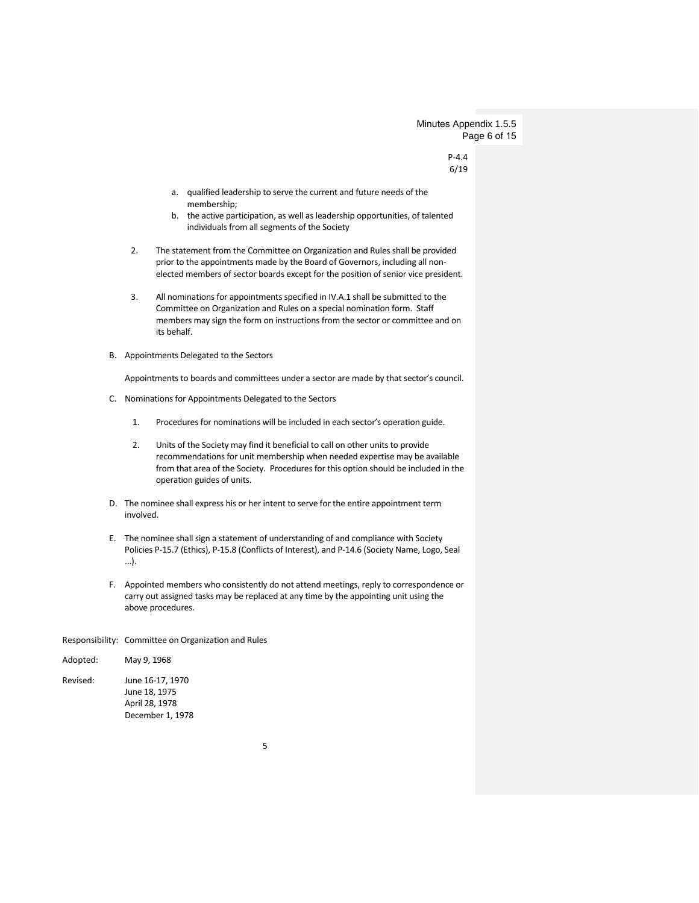Minutes Appendix 1.5.5 Page 6 of 15

> P-4.4 6/19

- a. qualified leadership to serve the current and future needs of the membership;
- b. the active participation, as well as leadership opportunities, of talented individuals from all segments of the Society
- 2. The statement from the Committee on Organization and Rules shall be provided prior to the appointments made by the Board of Governors, including all nonelected members of sector boards except for the position of senior vice president.
- 3. All nominations for appointments specified in IV.A.1 shall be submitted to the Committee on Organization and Rules on a special nomination form. Staff members may sign the form on instructions from the sector or committee and on its behalf.
- B. Appointments Delegated to the Sectors

Appointments to boards and committees under a sector are made by that sector's council.

- C. Nominations for Appointments Delegated to the Sectors
	- 1. Procedures for nominations will be included in each sector's operation guide.
	- 2. Units of the Society may find it beneficial to call on other units to provide recommendations for unit membership when needed expertise may be available from that area of the Society. Procedures for this option should be included in the operation guides of units.
- D. The nominee shall express his or her intent to serve for the entire appointment term involved.
- E. The nominee shall sign a statement of understanding of and compliance with Society Policies P-15.7 (Ethics), P-15.8 (Conflicts of Interest), and P-14.6 (Society Name, Logo, Seal ...).
- F. Appointed members who consistently do not attend meetings, reply to correspondence or carry out assigned tasks may be replaced at any time by the appointing unit using the above procedures.

#### Responsibility: Committee on Organization and Rules

| Adopted: | May 9, 1968                                                             |
|----------|-------------------------------------------------------------------------|
| Revised: | June 16-17, 1970<br>June 18, 1975<br>April 28, 1978<br>December 1, 1978 |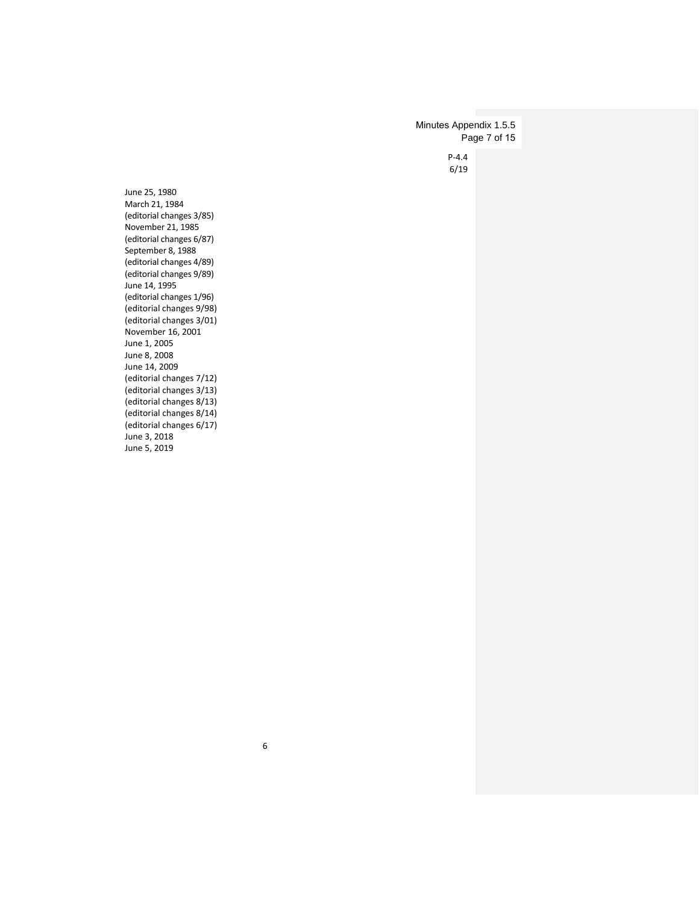P-4.4 6/19 Minutes Appendix 1.5.5 Page 7 of 15

June 25, 1980 March 21, 1984 (editorial changes 3/85) November 21, 1985 (editorial changes 6/87) September 8, 1988 (editorial changes 4/89) (editorial changes 9/89) June 14, 1995 (editorial changes 1/96) (editorial changes 9/98) (editorial changes 3/01) November 16, 2001 June 1, 2005 June 8, 2008 June 14, 2009 (editorial changes 7/12) (editorial changes 3/13) (editorial changes 8/13) (editorial changes 8/14) (editorial changes 6/17) June 3, 2018 June 5, 2019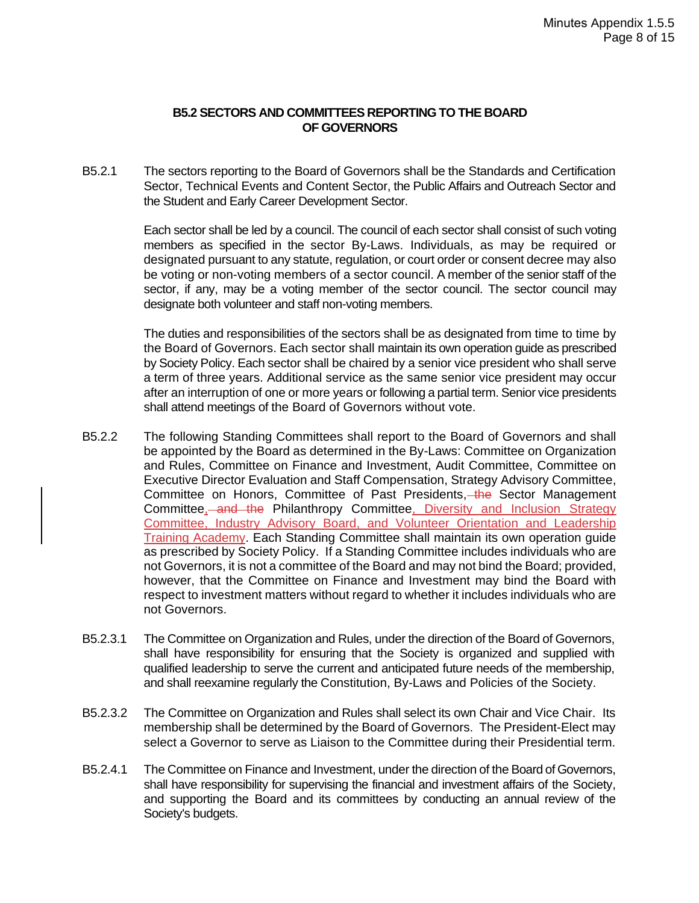#### **B5.2 SECTORS AND COMMITTEES REPORTING TO THE BOARD OF GOVERNORS**

B5.2.1 The sectors reporting to the Board of Governors shall be the Standards and Certification Sector, Technical Events and Content Sector, the Public Affairs and Outreach Sector and the Student and Early Career Development Sector.

> Each sector shall be led by a council. The council of each sector shall consist of such voting members as specified in the sector By-Laws. Individuals, as may be required or designated pursuant to any statute, regulation, or court order or consent decree may also be voting or non-voting members of a sector council. A member of the senior staff of the sector, if any, may be a voting member of the sector council. The sector council may designate both volunteer and staff non-voting members.

> The duties and responsibilities of the sectors shall be as designated from time to time by the Board of Governors. Each sector shall maintain its own operation guide as prescribed by Society Policy. Each sector shall be chaired by a senior vice president who shall serve a term of three years. Additional service as the same senior vice president may occur after an interruption of one or more years or following a partial term. Senior vice presidents shall attend meetings of the Board of Governors without vote.

- B5.2.2 The following Standing Committees shall report to the Board of Governors and shall be appointed by the Board as determined in the By-Laws: Committee on Organization and Rules, Committee on Finance and Investment, Audit Committee, Committee on Executive Director Evaluation and Staff Compensation, Strategy Advisory Committee, Committee on Honors, Committee of Past Presidents, the Sector Management Committee, and the Philanthropy Committee, Diversity and Inclusion Strategy Committee, Industry Advisory Board, and Volunteer Orientation and Leadership Training Academy. Each Standing Committee shall maintain its own operation guide as prescribed by Society Policy. If a Standing Committee includes individuals who are not Governors, it is not a committee of the Board and may not bind the Board; provided, however, that the Committee on Finance and Investment may bind the Board with respect to investment matters without regard to whether it includes individuals who are not Governors.
- B5.2.3.1 The Committee on Organization and Rules, under the direction of the Board of Governors, shall have responsibility for ensuring that the Society is organized and supplied with qualified leadership to serve the current and anticipated future needs of the membership, and shall reexamine regularly the Constitution, By-Laws and Policies of the Society.
- B5.2.3.2 The Committee on Organization and Rules shall select its own Chair and Vice Chair. Its membership shall be determined by the Board of Governors. The President-Elect may select a Governor to serve as Liaison to the Committee during their Presidential term.
- B5.2.4.1 The Committee on Finance and Investment, under the direction of the Board of Governors, shall have responsibility for supervising the financial and investment affairs of the Society, and supporting the Board and its committees by conducting an annual review of the Society's budgets.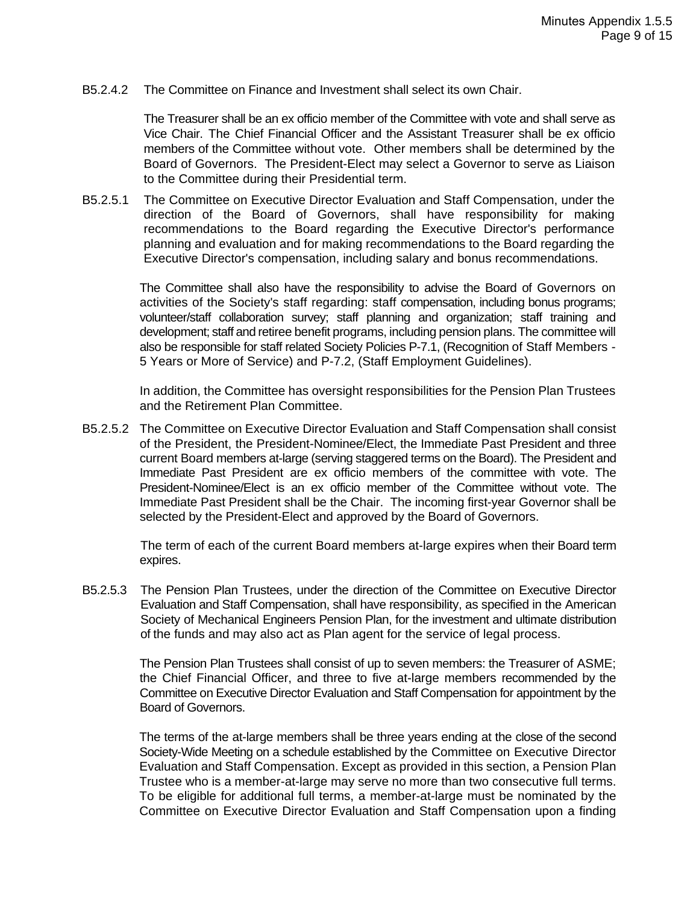B5.2.4.2 The Committee on Finance and Investment shall select its own Chair.

The Treasurer shall be an ex officio member of the Committee with vote and shall serve as Vice Chair. The Chief Financial Officer and the Assistant Treasurer shall be ex officio members of the Committee without vote. Other members shall be determined by the Board of Governors. The President-Elect may select a Governor to serve as Liaison to the Committee during their Presidential term.

B5.2.5.1 The Committee on Executive Director Evaluation and Staff Compensation, under the direction of the Board of Governors, shall have responsibility for making recommendations to the Board regarding the Executive Director's performance planning and evaluation and for making recommendations to the Board regarding the Executive Director's compensation, including salary and bonus recommendations.

> The Committee shall also have the responsibility to advise the Board of Governors on activities of the Society's staff regarding: staff compensation, including bonus programs; volunteer/staff collaboration survey; staff planning and organization; staff training and development; staff and retiree benefit programs, including pension plans. The committee will also be responsible for staff related Society Policies P-7.1, (Recognition of Staff Members - 5 Years or More of Service) and P-7.2, (Staff Employment Guidelines).

> In addition, the Committee has oversight responsibilities for the Pension Plan Trustees and the Retirement Plan Committee.

B5.2.5.2 The Committee on Executive Director Evaluation and Staff Compensation shall consist of the President, the President-Nominee/Elect, the Immediate Past President and three current Board members at-large (serving staggered terms on the Board). The President and Immediate Past President are ex officio members of the committee with vote. The President-Nominee/Elect is an ex officio member of the Committee without vote. The Immediate Past President shall be the Chair. The incoming first-year Governor shall be selected by the President-Elect and approved by the Board of Governors.

> The term of each of the current Board members at-large expires when their Board term expires.

B5.2.5.3 The Pension Plan Trustees, under the direction of the Committee on Executive Director Evaluation and Staff Compensation, shall have responsibility, as specified in the American Society of Mechanical Engineers Pension Plan, for the investment and ultimate distribution of the funds and may also act as Plan agent for the service of legal process.

> The Pension Plan Trustees shall consist of up to seven members: the Treasurer of ASME; the Chief Financial Officer, and three to five at-large members recommended by the Committee on Executive Director Evaluation and Staff Compensation for appointment by the Board of Governors.

> The terms of the at-large members shall be three years ending at the close of the second Society-Wide Meeting on a schedule established by the Committee on Executive Director Evaluation and Staff Compensation. Except as provided in this section, a Pension Plan Trustee who is a member-at-large may serve no more than two consecutive full terms. To be eligible for additional full terms, a member-at-large must be nominated by the Committee on Executive Director Evaluation and Staff Compensation upon a finding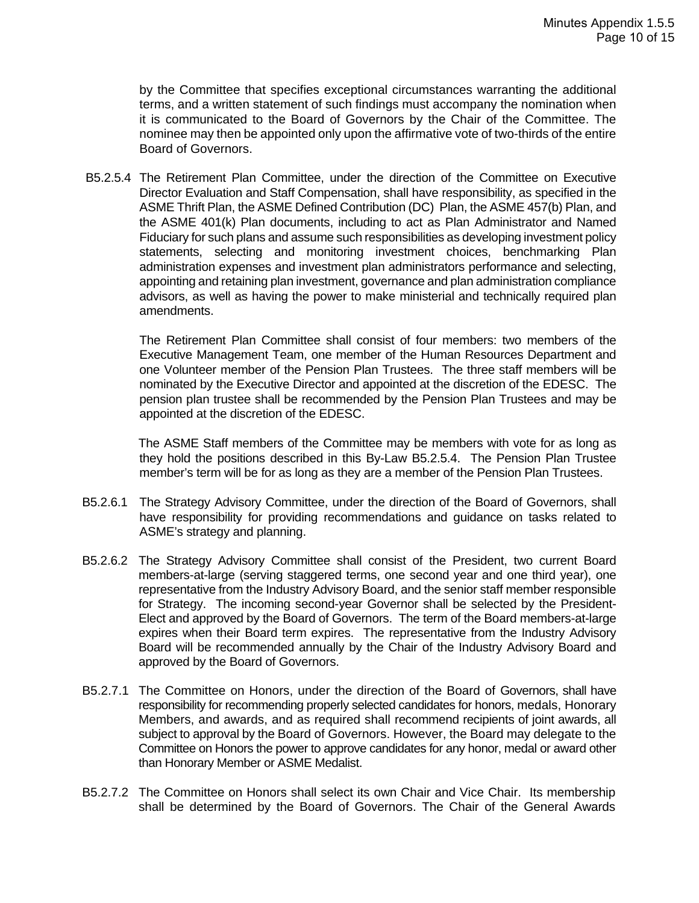by the Committee that specifies exceptional circumstances warranting the additional terms, and a written statement of such findings must accompany the nomination when it is communicated to the Board of Governors by the Chair of the Committee. The nominee may then be appointed only upon the affirmative vote of two-thirds of the entire Board of Governors.

B5.2.5.4 The Retirement Plan Committee, under the direction of the Committee on Executive Director Evaluation and Staff Compensation, shall have responsibility, as specified in the ASME Thrift Plan, the ASME Defined Contribution (DC) Plan, the ASME 457(b) Plan, and the ASME 401(k) Plan documents, including to act as Plan Administrator and Named Fiduciary for such plans and assume such responsibilities as developing investment policy statements, selecting and monitoring investment choices, benchmarking Plan administration expenses and investment plan administrators performance and selecting, appointing and retaining plan investment, governance and plan administration compliance advisors, as well as having the power to make ministerial and technically required plan amendments.

The Retirement Plan Committee shall consist of four members: two members of the Executive Management Team, one member of the Human Resources Department and one Volunteer member of the Pension Plan Trustees. The three staff members will be nominated by the Executive Director and appointed at the discretion of the EDESC. The pension plan trustee shall be recommended by the Pension Plan Trustees and may be appointed at the discretion of the EDESC.

The ASME Staff members of the Committee may be members with vote for as long as they hold the positions described in this By-Law B5.2.5.4. The Pension Plan Trustee member's term will be for as long as they are a member of the Pension Plan Trustees.

- B5.2.6.1 The Strategy Advisory Committee, under the direction of the Board of Governors, shall have responsibility for providing recommendations and guidance on tasks related to ASME's strategy and planning.
- B5.2.6.2 The Strategy Advisory Committee shall consist of the President, two current Board members-at-large (serving staggered terms, one second year and one third year), one representative from the Industry Advisory Board, and the senior staff member responsible for Strategy. The incoming second-year Governor shall be selected by the President-Elect and approved by the Board of Governors. The term of the Board members-at-large expires when their Board term expires. The representative from the Industry Advisory Board will be recommended annually by the Chair of the Industry Advisory Board and approved by the Board of Governors.
- B5.2.7.1 The Committee on Honors, under the direction of the Board of Governors, shall have responsibility for recommending properly selected candidates for honors, medals, Honorary Members, and awards, and as required shall recommend recipients of joint awards, all subject to approval by the Board of Governors. However, the Board may delegate to the Committee on Honors the power to approve candidates for any honor, medal or award other than Honorary Member or ASME Medalist.
- B5.2.7.2 The Committee on Honors shall select its own Chair and Vice Chair. Its membership shall be determined by the Board of Governors. The Chair of the General Awards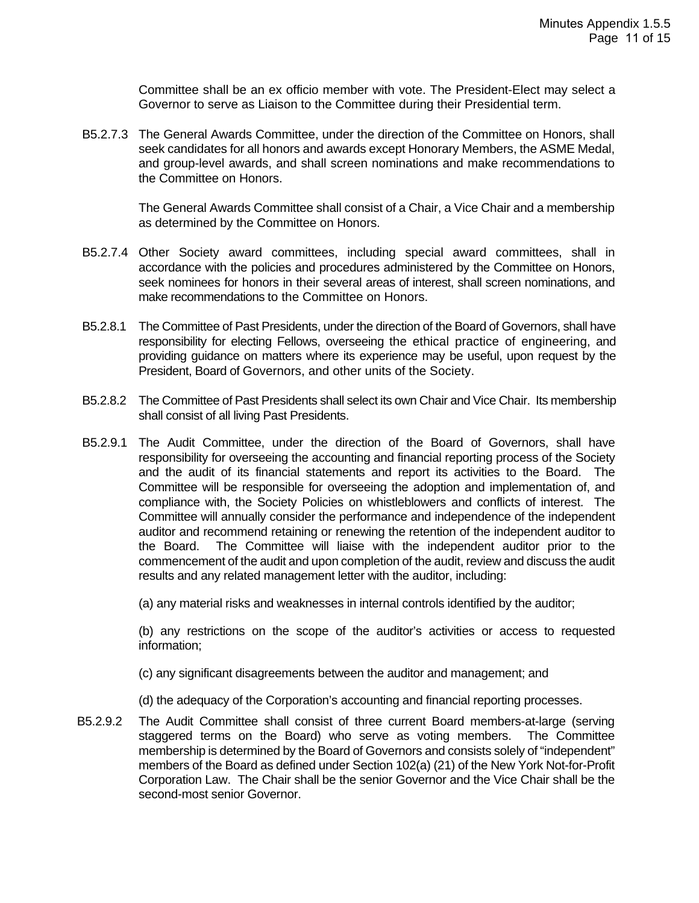Committee shall be an ex officio member with vote. The President-Elect may select a Governor to serve as Liaison to the Committee during their Presidential term.

B5.2.7.3 The General Awards Committee, under the direction of the Committee on Honors, shall seek candidates for all honors and awards except Honorary Members, the ASME Medal, and group-level awards, and shall screen nominations and make recommendations to the Committee on Honors.

> The General Awards Committee shall consist of a Chair, a Vice Chair and a membership as determined by the Committee on Honors.

- B5.2.7.4 Other Society award committees, including special award committees, shall in accordance with the policies and procedures administered by the Committee on Honors, seek nominees for honors in their several areas of interest, shall screen nominations, and make recommendations to the Committee on Honors.
- B5.2.8.1 The Committee of Past Presidents, under the direction of the Board of Governors, shall have responsibility for electing Fellows, overseeing the ethical practice of engineering, and providing guidance on matters where its experience may be useful, upon request by the President, Board of Governors, and other units of the Society.
- B5.2.8.2 The Committee of Past Presidents shall select its own Chair and Vice Chair. Its membership shall consist of all living Past Presidents.
- B5.2.9.1 The Audit Committee, under the direction of the Board of Governors, shall have responsibility for overseeing the accounting and financial reporting process of the Society and the audit of its financial statements and report its activities to the Board. The Committee will be responsible for overseeing the adoption and implementation of, and compliance with, the Society Policies on whistleblowers and conflicts of interest. The Committee will annually consider the performance and independence of the independent auditor and recommend retaining or renewing the retention of the independent auditor to the Board. The Committee will liaise with the independent auditor prior to the commencement of the audit and upon completion of the audit, review and discuss the audit results and any related management letter with the auditor, including:

(a) any material risks and weaknesses in internal controls identified by the auditor;

(b) any restrictions on the scope of the auditor's activities or access to requested information;

- (c) any significant disagreements between the auditor and management; and
- (d) the adequacy of the Corporation's accounting and financial reporting processes.
- B5.2.9.2 The Audit Committee shall consist of three current Board members-at-large (serving staggered terms on the Board) who serve as voting members. The Committee membership is determined by the Board of Governors and consists solely of "independent" members of the Board as defined under Section 102(a) (21) of the New York Not-for-Profit Corporation Law. The Chair shall be the senior Governor and the Vice Chair shall be the second-most senior Governor.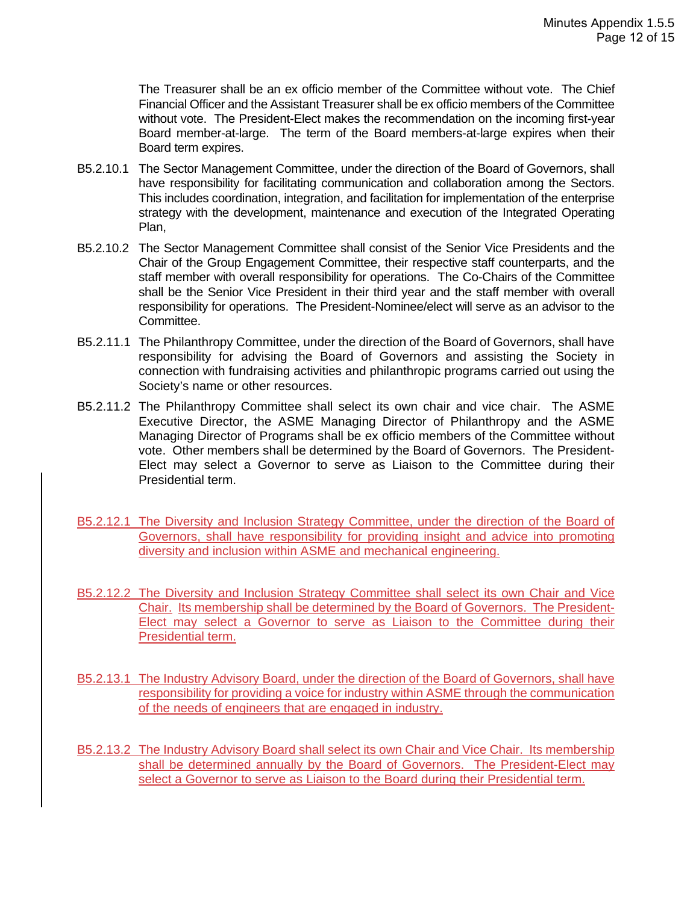The Treasurer shall be an ex officio member of the Committee without vote. The Chief Financial Officer and the Assistant Treasurer shall be ex officio members of the Committee without vote. The President-Elect makes the recommendation on the incoming first-year Board member-at-large. The term of the Board members-at-large expires when their Board term expires.

- B5.2.10.1 The Sector Management Committee, under the direction of the Board of Governors, shall have responsibility for facilitating communication and collaboration among the Sectors. This includes coordination, integration, and facilitation for implementation of the enterprise strategy with the development, maintenance and execution of the Integrated Operating Plan,
- B5.2.10.2 The Sector Management Committee shall consist of the Senior Vice Presidents and the Chair of the Group Engagement Committee, their respective staff counterparts, and the staff member with overall responsibility for operations. The Co-Chairs of the Committee shall be the Senior Vice President in their third year and the staff member with overall responsibility for operations. The President-Nominee/elect will serve as an advisor to the Committee.
- B5.2.11.1 The Philanthropy Committee, under the direction of the Board of Governors, shall have responsibility for advising the Board of Governors and assisting the Society in connection with fundraising activities and philanthropic programs carried out using the Society's name or other resources.
- B5.2.11.2 The Philanthropy Committee shall select its own chair and vice chair. The ASME Executive Director, the ASME Managing Director of Philanthropy and the ASME Managing Director of Programs shall be ex officio members of the Committee without vote. Other members shall be determined by the Board of Governors. The President-Elect may select a Governor to serve as Liaison to the Committee during their Presidential term.
- B5.2.12.1 The Diversity and Inclusion Strategy Committee, under the direction of the Board of Governors, shall have responsibility for providing insight and advice into promoting diversity and inclusion within ASME and mechanical engineering.
- B5.2.12.2 The Diversity and Inclusion Strategy Committee shall select its own Chair and Vice Chair. Its membership shall be determined by the Board of Governors. The President-Elect may select a Governor to serve as Liaison to the Committee during their Presidential term.
- B5.2.13.1 The Industry Advisory Board, under the direction of the Board of Governors, shall have responsibility for providing a voice for industry within ASME through the communication of the needs of engineers that are engaged in industry.
- B5.2.13.2 The Industry Advisory Board shall select its own Chair and Vice Chair. Its membership shall be determined annually by the Board of Governors. The President-Elect may select a Governor to serve as Liaison to the Board during their Presidential term.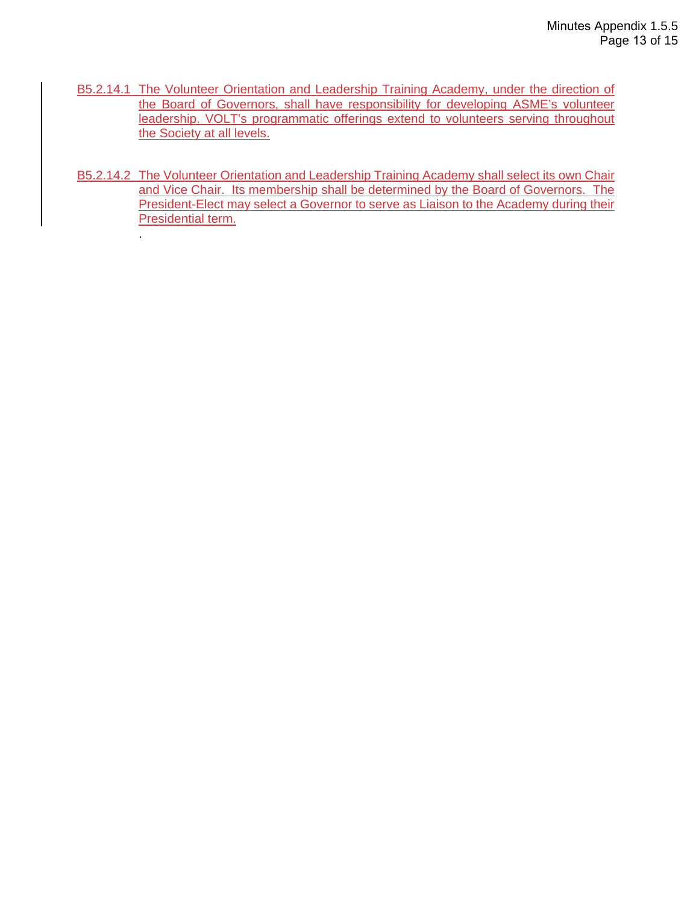- B5.2.14.1 The Volunteer Orientation and Leadership Training Academy, under the direction of the Board of Governors, shall have responsibility for developing ASME's volunteer leadership. VOLT's programmatic offerings extend to volunteers serving throughout the Society at all levels.
- B5.2.14.2 The Volunteer Orientation and Leadership Training Academy shall select its own Chair and Vice Chair. Its membership shall be determined by the Board of Governors. The President-Elect may select a Governor to serve as Liaison to the Academy during their Presidential term.

.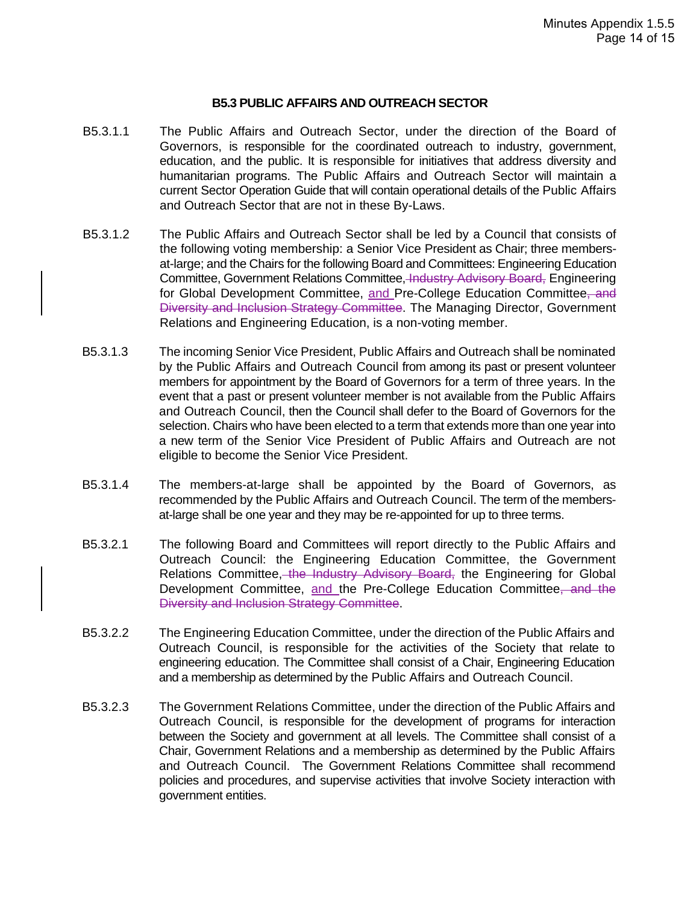#### **B5.3 PUBLIC AFFAIRS AND OUTREACH SECTOR**

- B5.3.1.1 The Public Affairs and Outreach Sector, under the direction of the Board of Governors, is responsible for the coordinated outreach to industry, government, education, and the public. It is responsible for initiatives that address diversity and humanitarian programs. The Public Affairs and Outreach Sector will maintain a current Sector Operation Guide that will contain operational details of the Public Affairs and Outreach Sector that are not in these By-Laws.
- B5.3.1.2 The Public Affairs and Outreach Sector shall be led by a Council that consists of the following voting membership: a Senior Vice President as Chair; three membersat-large; and the Chairs for the following Board and Committees: Engineering Education Committee, Government Relations Committee, Industry Advisory Board, Engineering for Global Development Committee, and Pre-College Education Committee, and Diversity and Inclusion Strategy Committee. The Managing Director, Government Relations and Engineering Education, is a non-voting member.
- B5.3.1.3 The incoming Senior Vice President, Public Affairs and Outreach shall be nominated by the Public Affairs and Outreach Council from among its past or present volunteer members for appointment by the Board of Governors for a term of three years. In the event that a past or present volunteer member is not available from the Public Affairs and Outreach Council, then the Council shall defer to the Board of Governors for the selection. Chairs who have been elected to a term that extends more than one year into a new term of the Senior Vice President of Public Affairs and Outreach are not eligible to become the Senior Vice President.
- B5.3.1.4 The members-at-large shall be appointed by the Board of Governors, as recommended by the Public Affairs and Outreach Council. The term of the membersat-large shall be one year and they may be re-appointed for up to three terms.
- B5.3.2.1 The following Board and Committees will report directly to the Public Affairs and Outreach Council: the Engineering Education Committee, the Government Relations Committee, the Industry Advisory Board, the Engineering for Global Development Committee, and the Pre-College Education Committee, and the Diversity and Inclusion Strategy Committee.
- B5.3.2.2 The Engineering Education Committee, under the direction of the Public Affairs and Outreach Council, is responsible for the activities of the Society that relate to engineering education. The Committee shall consist of a Chair, Engineering Education and a membership as determined by the Public Affairs and Outreach Council.
- B5.3.2.3 The Government Relations Committee, under the direction of the Public Affairs and Outreach Council, is responsible for the development of programs for interaction between the Society and government at all levels. The Committee shall consist of a Chair, Government Relations and a membership as determined by the Public Affairs and Outreach Council. The Government Relations Committee shall recommend policies and procedures, and supervise activities that involve Society interaction with government entities.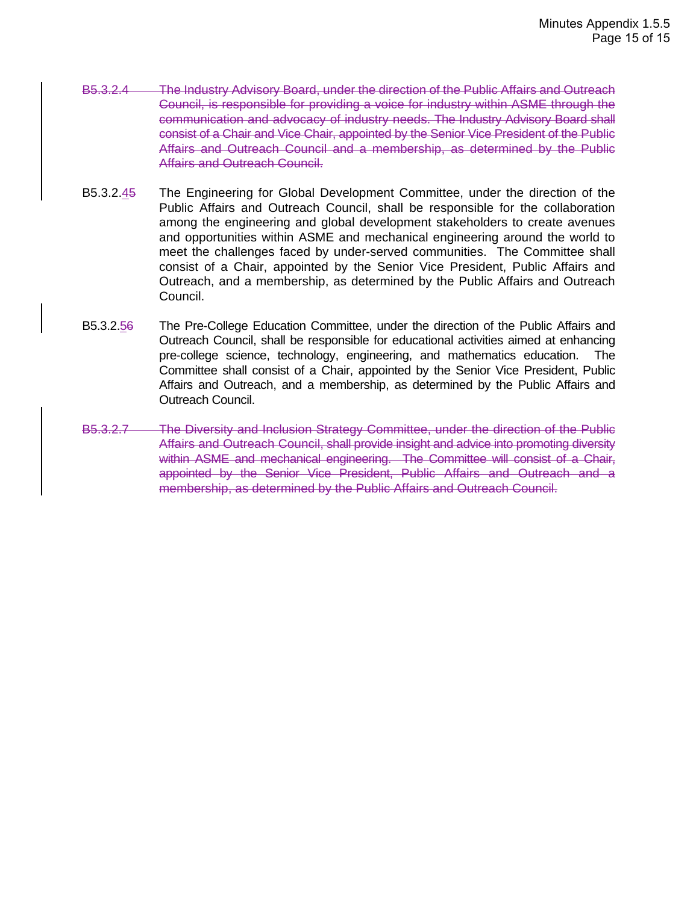- B5.3.2.4 The Industry Advisory Board, under the direction of the Public Affairs and Outreach Council, is responsible for providing a voice for industry within ASME through the communication and advocacy of industry needs. The Industry Advisory Board shall consist of a Chair and Vice Chair, appointed by the Senior Vice President of the Public Affairs and Outreach Council and a membership, as determined by the Public Affairs and Outreach Council.
- B5.3.2.45 The Engineering for Global Development Committee, under the direction of the Public Affairs and Outreach Council, shall be responsible for the collaboration among the engineering and global development stakeholders to create avenues and opportunities within ASME and mechanical engineering around the world to meet the challenges faced by under-served communities. The Committee shall consist of a Chair, appointed by the Senior Vice President, Public Affairs and Outreach, and a membership, as determined by the Public Affairs and Outreach Council.
- B5.3.2.56 The Pre-College Education Committee, under the direction of the Public Affairs and Outreach Council, shall be responsible for educational activities aimed at enhancing pre-college science, technology, engineering, and mathematics education. The Committee shall consist of a Chair, appointed by the Senior Vice President, Public Affairs and Outreach, and a membership, as determined by the Public Affairs and Outreach Council.
- B5.3.2.7 The Diversity and Inclusion Strategy Committee, under the direction of the Public Affairs and Outreach Council, shall provide insight and advice into promoting diversity within ASME and mechanical engineering. The Committee will consist of a Chair, appointed by the Senior Vice President, Public Affairs and Outreach and a membership, as determined by the Public Affairs and Outreach Council.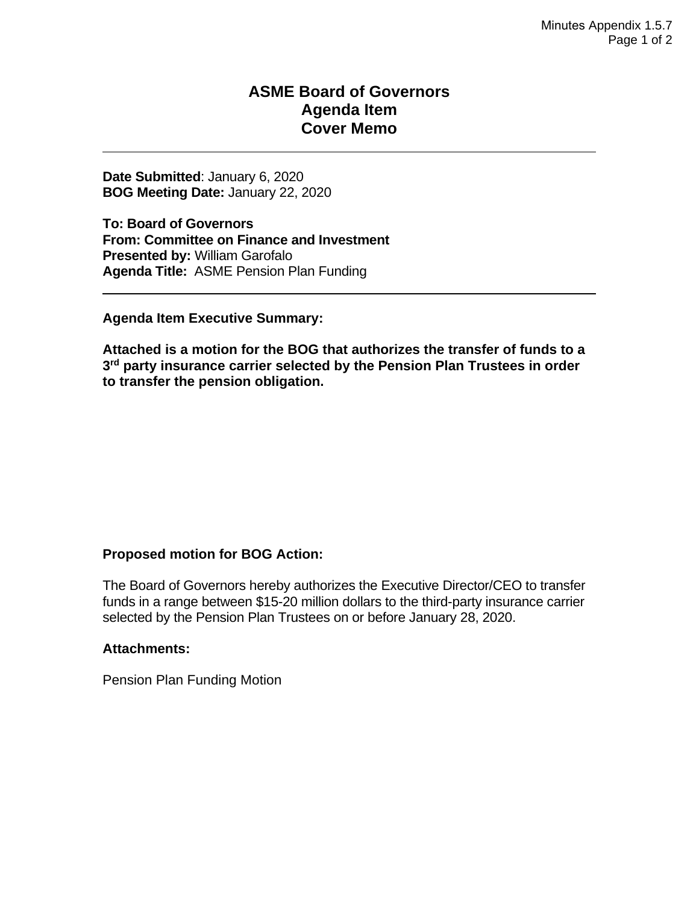### **ASME Board of Governors Agenda Item Cover Memo**

**Date Submitted**: January 6, 2020 **BOG Meeting Date:** January 22, 2020

**To: Board of Governors From: Committee on Finance and Investment Presented by:** William Garofalo **Agenda Title:** ASME Pension Plan Funding

**Agenda Item Executive Summary:** 

**Attached is a motion for the BOG that authorizes the transfer of funds to a 3rd party insurance carrier selected by the Pension Plan Trustees in order to transfer the pension obligation.**

#### **Proposed motion for BOG Action:**

The Board of Governors hereby authorizes the Executive Director/CEO to transfer funds in a range between \$15-20 million dollars to the third-party insurance carrier selected by the Pension Plan Trustees on or before January 28, 2020.

#### **Attachments:**

Pension Plan Funding Motion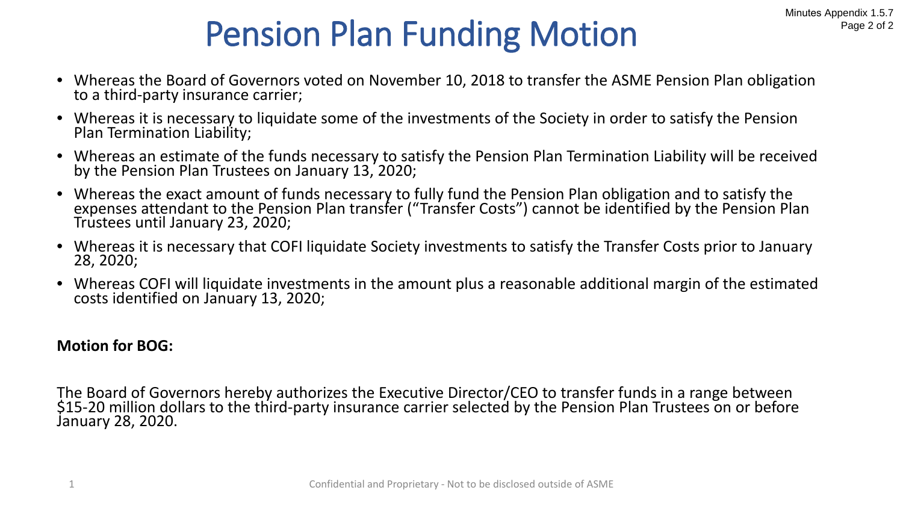# Pension Plan Funding Motion

- Whereas the Board of Governors voted on November 10, 2018 to transfer the ASME Pension Plan obligation to a third-party insurance carrier;
- Whereas it is necessary to liquidate some of the investments of the Society in order to satisfy the Pension Plan Termination Liability;
- Whereas an estimate of the funds necessary to satisfy the Pension Plan Termination Liability will be received by the Pension Plan Trustees on January 13, 2020;
- Whereas the exact amount of funds necessary to fully fund the Pension Plan obligation and to satisfy the expenses attendant to the Pension Plan transfer ("Transfer Costs") cannot be identified by the Pension Plan Trustees until January 23, 2020;
- Whereas it is necessary that COFI liquidate Society investments to satisfy the Transfer Costs prior to January 28, 2020;
- Whereas COFI will liquidate investments in the amount plus a reasonable additional margin of the estimated costs identified on January 13, 2020;

### **Motion for BOG:**

The Board of Governors hereby authorizes the Executive Director/CEO to transfer funds in a range between \$15-20 million dollars to the third-party insurance carrier selected by the Pension Plan Trustees on or before January 28, 2020.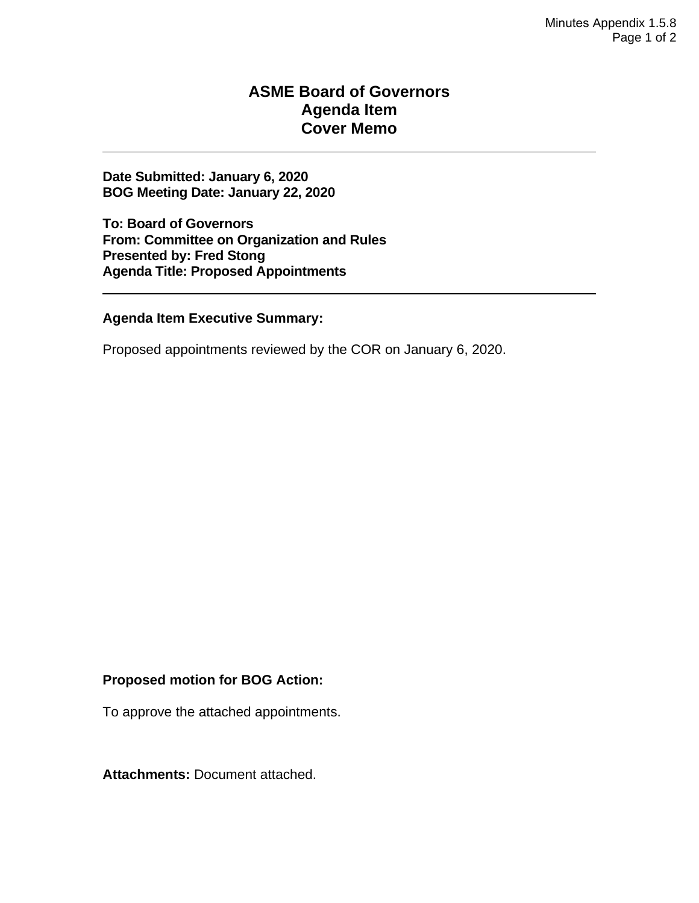### **ASME Board of Governors Agenda Item Cover Memo**

**Date Submitted: January 6, 2020 BOG Meeting Date: January 22, 2020**

**To: Board of Governors From: Committee on Organization and Rules Presented by: Fred Stong Agenda Title: Proposed Appointments** 

**Agenda Item Executive Summary:**

Proposed appointments reviewed by the COR on January 6, 2020.

#### **Proposed motion for BOG Action:**

To approve the attached appointments.

**Attachments:** Document attached.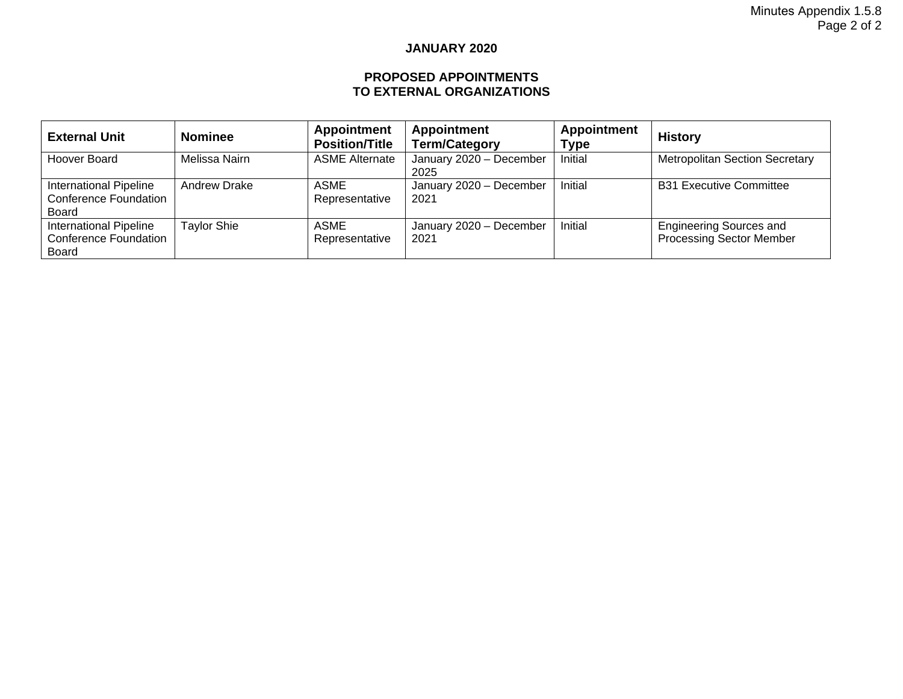#### **JANUARY 2020**

#### **PROPOSED APPOINTMENTS TO EXTERNAL ORGANIZATIONS**

| <b>External Unit</b>                                                          | <b>Nominee</b>      | <b>Appointment</b><br><b>Position/Title</b> | <b>Appointment</b><br><b>Term/Category</b> | <b>Appointment</b><br>Type | <b>History</b>                                                    |
|-------------------------------------------------------------------------------|---------------------|---------------------------------------------|--------------------------------------------|----------------------------|-------------------------------------------------------------------|
| Hoover Board                                                                  | Melissa Nairn       | <b>ASME Alternate</b>                       | January 2020 - December<br>2025            | Initial                    | <b>Metropolitan Section Secretary</b>                             |
| International Pipeline<br><b>Conference Foundation</b><br><b>Board</b>        | <b>Andrew Drake</b> | ASME<br>Representative                      | January 2020 - December<br>2021            | Initial                    | <b>B31 Executive Committee</b>                                    |
| <b>International Pipeline</b><br><b>Conference Foundation</b><br><b>Board</b> | <b>Taylor Shie</b>  | ASME<br>Representative                      | January 2020 - December<br>2021            | Initial                    | <b>Engineering Sources and</b><br><b>Processing Sector Member</b> |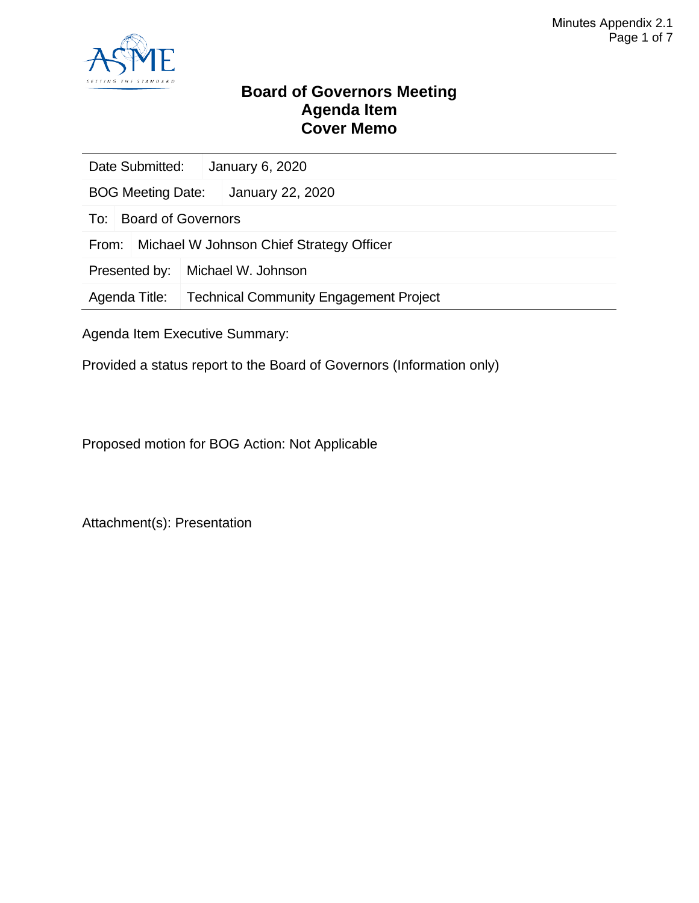

### **Board of Governors Meeting Agenda Item Cover Memo**

| Date Submitted:                                   | January 6, 2020                               |                  |  |
|---------------------------------------------------|-----------------------------------------------|------------------|--|
| <b>BOG Meeting Date:</b>                          |                                               | January 22, 2020 |  |
| To:                                               | <b>Board of Governors</b>                     |                  |  |
| Michael W Johnson Chief Strategy Officer<br>From: |                                               |                  |  |
| Presented by:                                     | Michael W. Johnson                            |                  |  |
| Agenda Title:                                     | <b>Technical Community Engagement Project</b> |                  |  |
|                                                   |                                               |                  |  |

Agenda Item Executive Summary:

Provided a status report to the Board of Governors (Information only)

Proposed motion for BOG Action: Not Applicable

Attachment(s): Presentation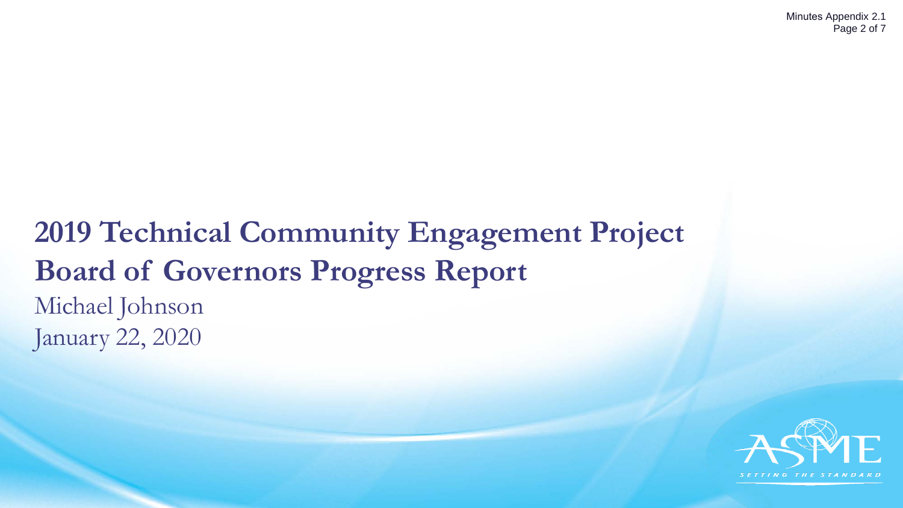# **2019 Technical Community Engagement Project Board of Governors Progress Report** Michael Johnson January 22, 2020

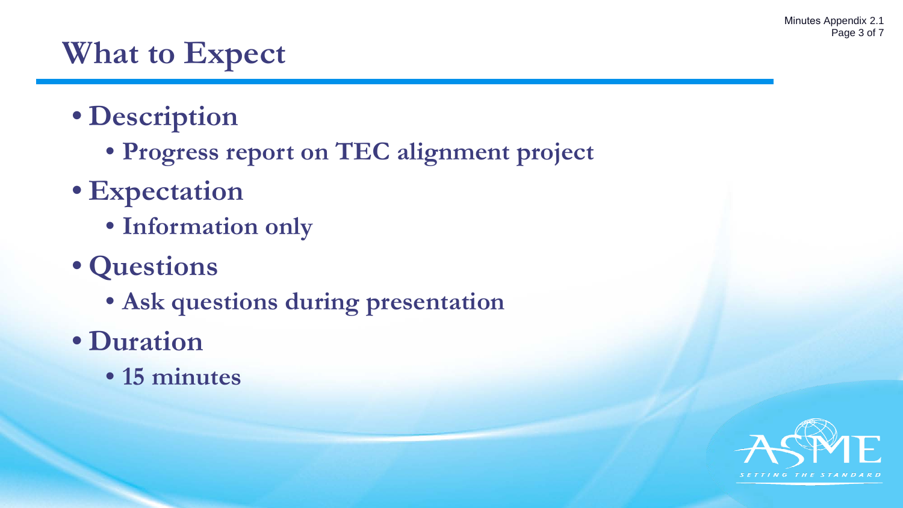# **What to Expect**

- **Description**
	- **Progress report on TEC alignment project**
- **Expectation**
	- **Information only**
- **Questions**
	- **Ask questions during presentation**
- **Duration**
	- **15 minutes**

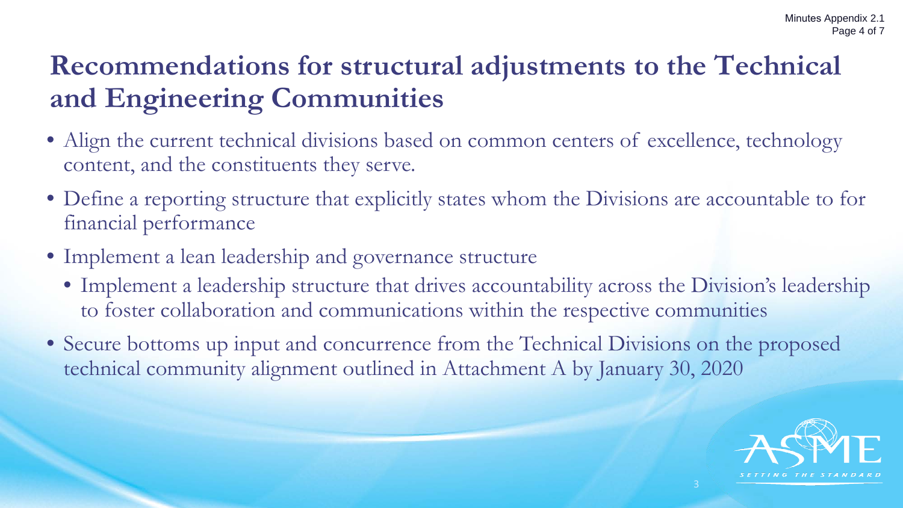# **Recommendations for structural adjustments to the Technical and Engineering Communities**

- Align the current technical divisions based on common centers of excellence, technology content, and the constituents they serve.
- Define a reporting structure that explicitly states whom the Divisions are accountable to for financial performance
- Implement a lean leadership and governance structure
	- Implement a leadership structure that drives accountability across the Division's leadership to foster collaboration and communications within the respective communities
- Secure bottoms up input and concurrence from the Technical Divisions on the proposed technical community alignment outlined in Attachment A by January 30, 2020

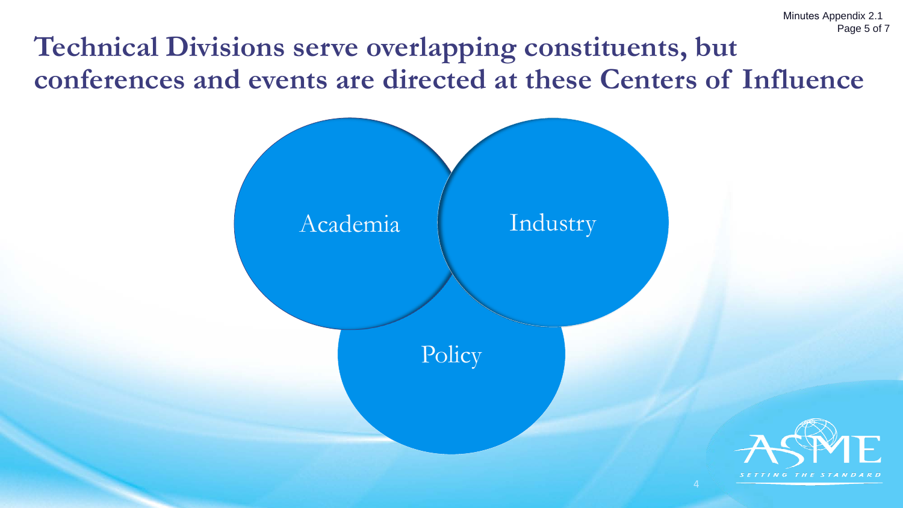# **Technical Divisions serve overlapping constituents, but conferences and events are directed at these Centers of Influence**

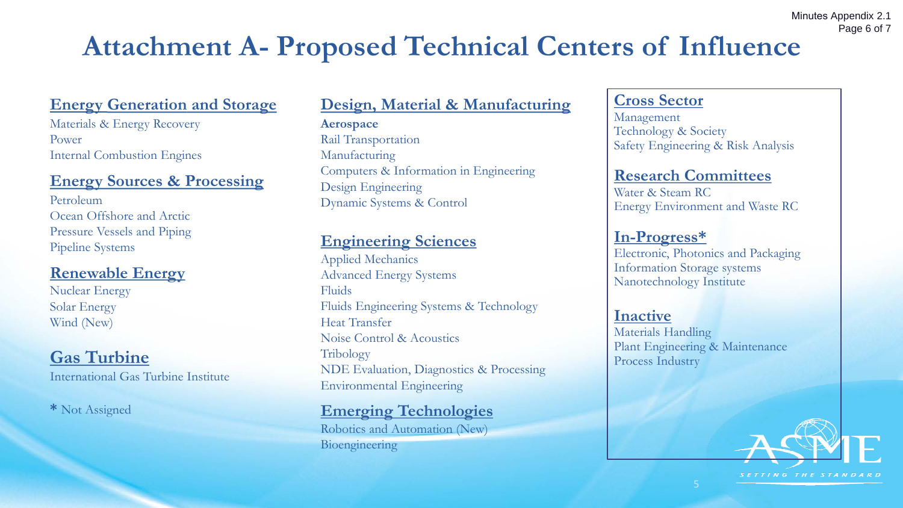# **Attachment A- Proposed Technical Centers of Influence**

## **Energy Generation and Storage**

Materials & Energy Recovery Power Internal Combustion Engines

## **Energy Sources & Processing**

Petroleum Ocean Offshore and Arctic Pressure Vessels and Piping Pipeline Systems

## **Renewable Energy**

Nuclear Energy Solar Energy Wind (New)

## **Gas Turbine**

International Gas Turbine Institute

**\*** Not Assigned

## **Design, Material & Manufacturing**

**Aerospace** Rail Transportation Manufacturing Computers & Information in Engineering Design Engineering Dynamic Systems & Control

## **Engineering Sciences**

Applied Mechanics Advanced Energy Systems Fluids Fluids Engineering Systems & Technology Heat Transfer Noise Control & Acoustics Tribology NDE Evaluation, Diagnostics & Processing Environmental Engineering

## **Emerging Technologies**

Robotics and Automation (New) Bioengineering

### **Cross Sector**

Management Technology & Society Safety Engineering & Risk Analysis

### **Research Committees**

Water & Steam RC Energy Environment and Waste RC

## **In-Progress\***

Electronic, Photonics and Packaging Information Storage systems Nanotechnology Institute

### **Inactive**

Materials Handling Plant Engineering & Maintenance Process Industry



SETTING THE STANDARD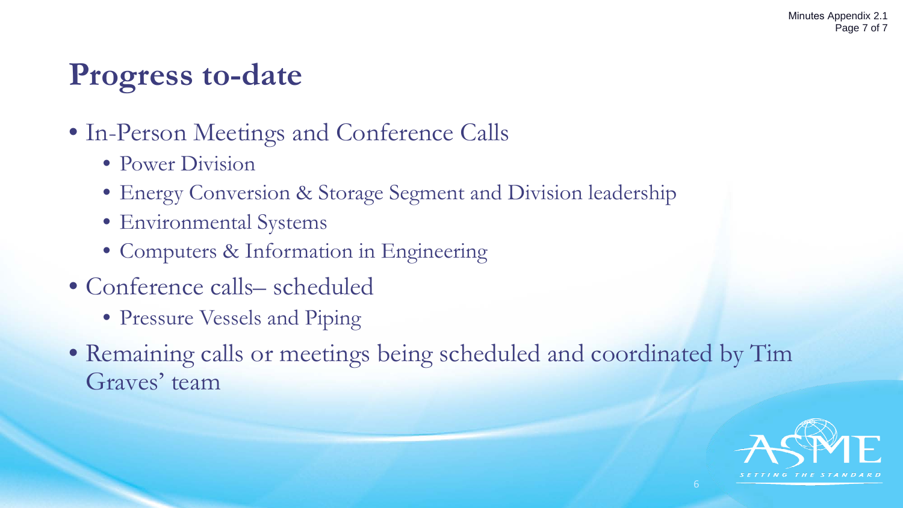# **Progress to-date**

- In-Person Meetings and Conference Calls
	- Power Division
	- Energy Conversion & Storage Segment and Division leadership
	- Environmental Systems
	- Computers & Information in Engineering
- Conference calls– scheduled
	- Pressure Vessels and Piping
- Remaining calls or meetings being scheduled and coordinated by Tim Graves' team

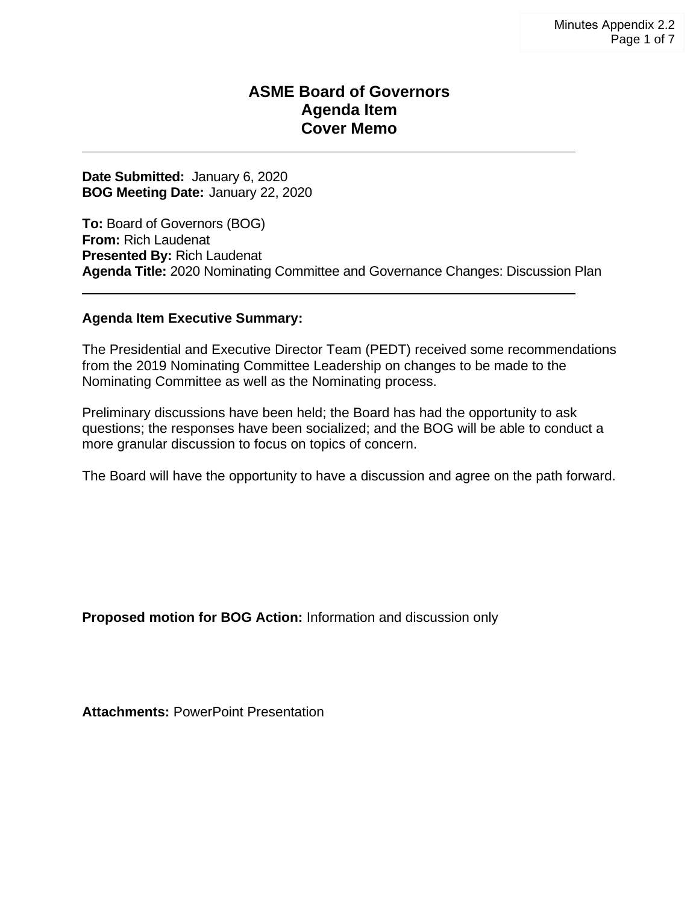### **ASME Board of Governors Agenda Item Cover Memo**

**Date Submitted:** January 6, 2020 **BOG Meeting Date:** January 22, 2020

**To:** Board of Governors (BOG) **From:** Rich Laudenat **Presented By:** Rich Laudenat **Agenda Title:** 2020 Nominating Committee and Governance Changes: Discussion Plan

#### **Agenda Item Executive Summary:**

The Presidential and Executive Director Team (PEDT) received some recommendations from the 2019 Nominating Committee Leadership on changes to be made to the Nominating Committee as well as the Nominating process.

Preliminary discussions have been held; the Board has had the opportunity to ask questions; the responses have been socialized; and the BOG will be able to conduct a more granular discussion to focus on topics of concern.

The Board will have the opportunity to have a discussion and agree on the path forward.

**Proposed motion for BOG Action:** Information and discussion only

**Attachments:** PowerPoint Presentation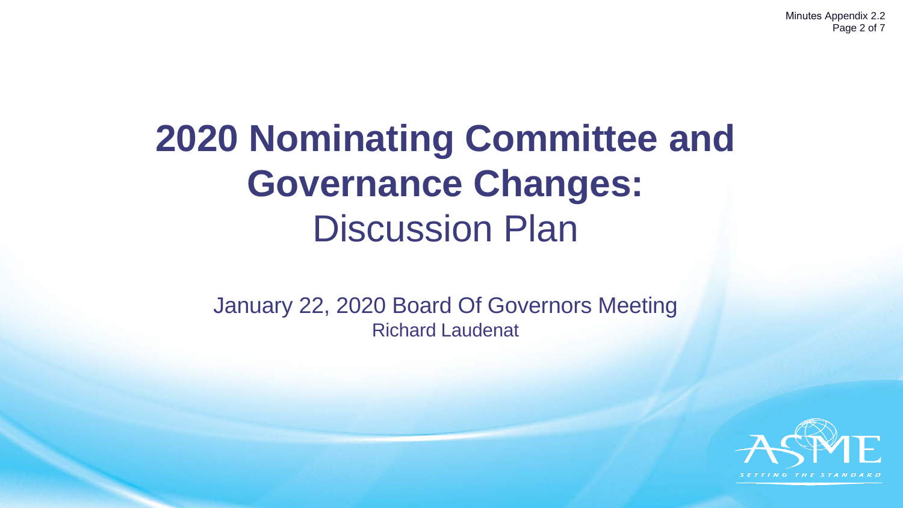Minutes Appendix 2.2 Page 2 of 7

# **2020 Nominating Committee and Governance Changes:** Discussion Plan

January 22, 2020 Board Of Governors Meeting Richard Laudenat

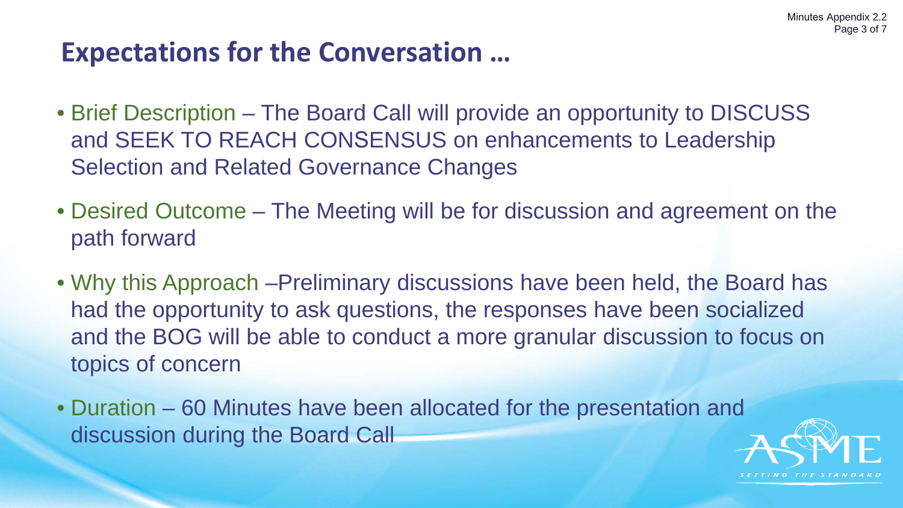# **Expectations for the Conversation …**

- Brief Description The Board Call will provide an opportunity to DISCUSS and SEEK TO REACH CONSENSUS on enhancements to Leadership Selection and Related Governance Changes
- Desired Outcome The Meeting will be for discussion and agreement on the path forward
- Why this Approach –Preliminary discussions have been held, the Board has had the opportunity to ask questions, the responses have been socialized and the BOG will be able to conduct a more granular discussion to focus on topics of concern
- Duration 60 Minutes have been allocated for the presentation and discussion during the Board Call

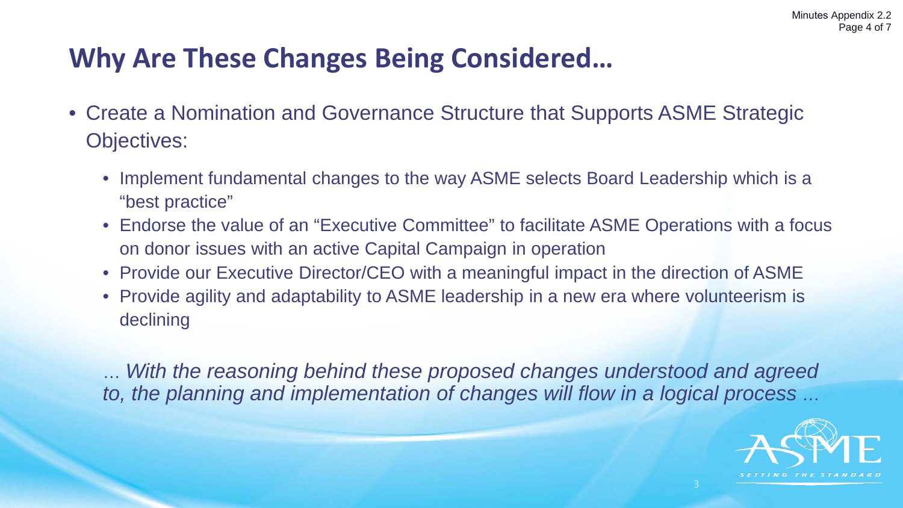# **Why Are These Changes Being Considered…**

- Create a Nomination and Governance Structure that Supports ASME Strategic Objectives:
	- Implement fundamental changes to the way ASME selects Board Leadership which is a "best practice"
	- Endorse the value of an "Executive Committee" to facilitate ASME Operations with a focus on donor issues with an active Capital Campaign in operation
	- Provide our Executive Director/CEO with a meaningful impact in the direction of ASME
	- Provide agility and adaptability to ASME leadership in a new era where volunteerism is declining

… *With the reasoning behind these proposed changes understood and agreed to, the planning and implementation of changes will flow in a logical process* …

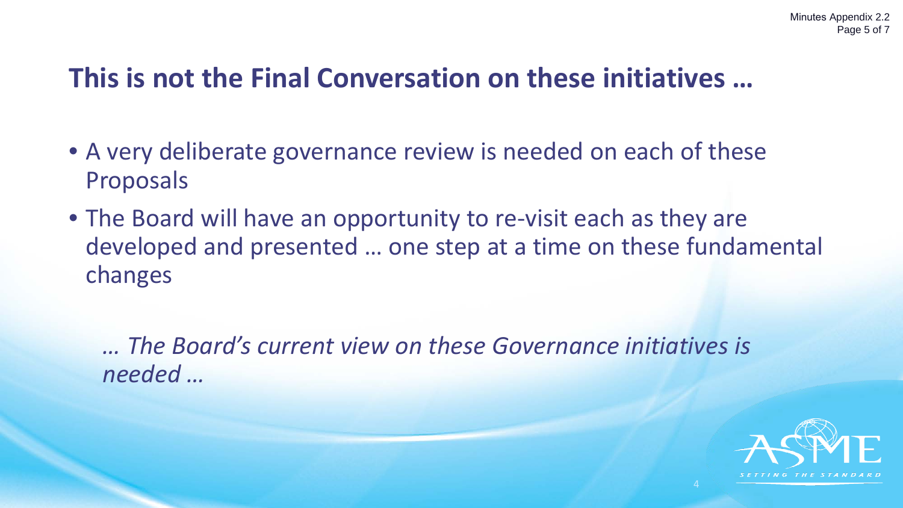# **This is not the Final Conversation on these initiatives …**

- A very deliberate governance review is needed on each of these Proposals
- The Board will have an opportunity to re-visit each as they are developed and presented … one step at a time on these fundamental changes

*… The Board's current view on these Governance initiatives is needed …*

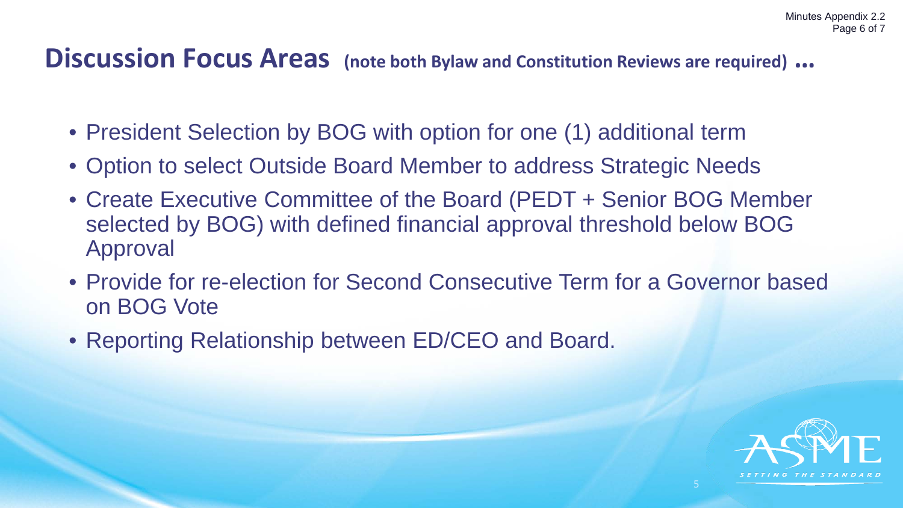## **Discussion Focus Areas (note both Bylaw and Constitution Reviews are required) …**

- President Selection by BOG with option for one (1) additional term
- Option to select Outside Board Member to address Strategic Needs
- Create Executive Committee of the Board (PEDT + Senior BOG Member selected by BOG) with defined financial approval threshold below BOG Approval
- Provide for re-election for Second Consecutive Term for a Governor based on BOG Vote
- Reporting Relationship between ED/CEO and Board.